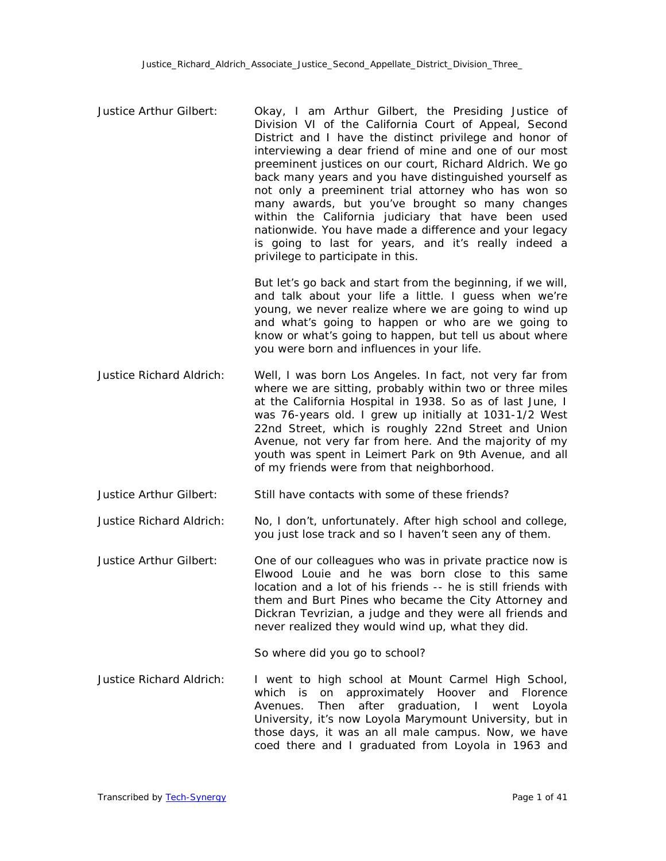Justice Arthur Gilbert: Okay, I am Arthur Gilbert, the Presiding Justice of Division VI of the California Court of Appeal, Second District and I have the distinct privilege and honor of interviewing a dear friend of mine and one of our most preeminent justices on our court, Richard Aldrich. We go back many years and you have distinguished yourself as not only a preeminent trial attorney who has won so many awards, but you've brought so many changes within the California judiciary that have been used nationwide. You have made a difference and your legacy is going to last for years, and it's really indeed a privilege to participate in this.

> But let's go back and start from the beginning, if we will, and talk about your life a little. I guess when we're young, we never realize where we are going to wind up and what's going to happen or who are we going to know or what's going to happen, but tell us about where you were born and influences in your life.

- Justice Richard Aldrich: Well, I was born Los Angeles. In fact, not very far from where we are sitting, probably within two or three miles at the California Hospital in 1938. So as of last June, I was 76-years old. I grew up initially at 1031-1/2 West 22nd Street, which is roughly 22nd Street and Union Avenue, not very far from here. And the majority of my youth was spent in Leimert Park on 9th Avenue, and all of my friends were from that neighborhood.
- Justice Arthur Gilbert: Still have contacts with some of these friends?

Justice Richard Aldrich: No, I don't, unfortunately. After high school and college, you just lose track and so I haven't seen any of them.

Justice Arthur Gilbert: One of our colleagues who was in private practice now is Elwood Louie and he was born close to this same location and a lot of his friends -- he is still friends with them and Burt Pines who became the City Attorney and Dickran Tevrizian, a judge and they were all friends and never realized they would wind up, what they did.

So where did you go to school?

Justice Richard Aldrich: I went to high school at Mount Carmel High School, which is on approximately Hoover and Florence Avenues. Then after graduation, I went Loyola University, it's now Loyola Marymount University, but in those days, it was an all male campus. Now, we have coed there and I graduated from Loyola in 1963 and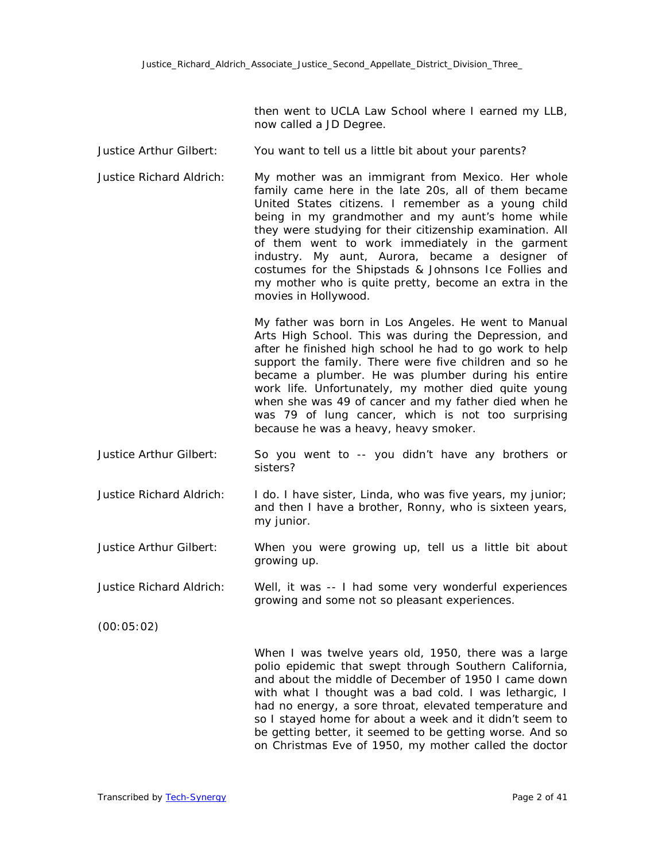then went to UCLA Law School where I earned my LLB, now called a JD Degree.

- Justice Arthur Gilbert: You want to tell us a little bit about your parents?
- Justice Richard Aldrich: My mother was an immigrant from Mexico. Her whole family came here in the late 20s, all of them became United States citizens. I remember as a young child being in my grandmother and my aunt's home while they were studying for their citizenship examination. All of them went to work immediately in the garment industry. My aunt, Aurora, became a designer of costumes for the Shipstads & Johnsons Ice Follies and my mother who is quite pretty, become an extra in the movies in Hollywood.

My father was born in Los Angeles. He went to Manual Arts High School. This was during the Depression, and after he finished high school he had to go work to help support the family. There were five children and so he became a plumber. He was plumber during his entire work life. Unfortunately, my mother died quite young when she was 49 of cancer and my father died when he was 79 of lung cancer, which is not too surprising because he was a heavy, heavy smoker.

- Justice Arthur Gilbert: So you went to -- you didn't have any brothers or sisters?
- Justice Richard Aldrich: I do. I have sister, Linda, who was five years, my junior; and then I have a brother, Ronny, who is sixteen years, my junior.
- Justice Arthur Gilbert: When you were growing up, tell us a little bit about growing up.

Justice Richard Aldrich: Well, it was -- I had some very wonderful experiences growing and some not so pleasant experiences.

(00:05:02)

When I was twelve years old, 1950, there was a large polio epidemic that swept through Southern California, and about the middle of December of 1950 I came down with what I thought was a bad cold. I was lethargic, I had no energy, a sore throat, elevated temperature and so I stayed home for about a week and it didn't seem to be getting better, it seemed to be getting worse. And so on Christmas Eve of 1950, my mother called the doctor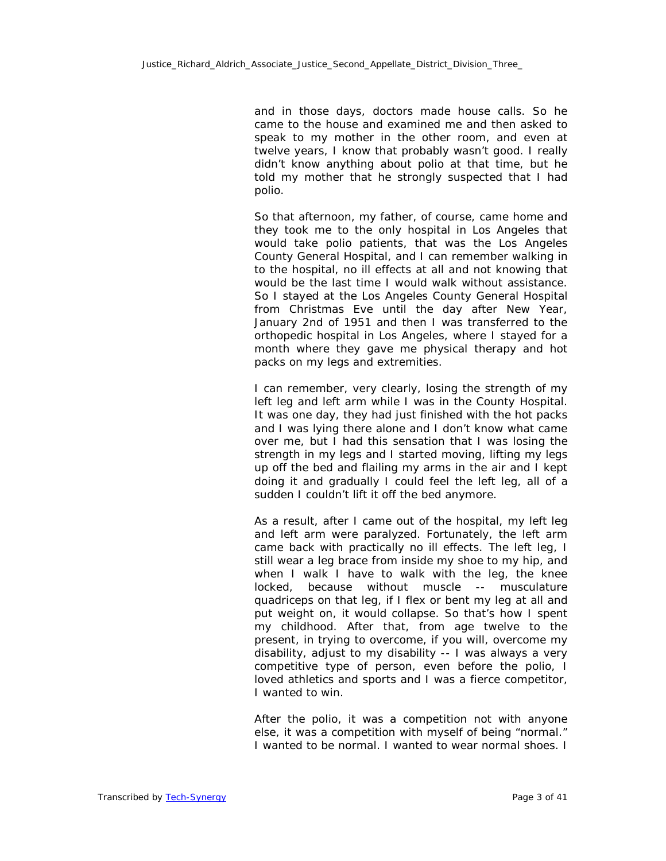and in those days, doctors made house calls. So he came to the house and examined me and then asked to speak to my mother in the other room, and even at twelve years, I know that probably wasn't good. I really didn't know anything about polio at that time, but he told my mother that he strongly suspected that I had polio.

So that afternoon, my father, of course, came home and they took me to the only hospital in Los Angeles that would take polio patients, that was the Los Angeles County General Hospital, and I can remember walking in to the hospital, no ill effects at all and not knowing that would be the last time I would walk without assistance. So I stayed at the Los Angeles County General Hospital from Christmas Eve until the day after New Year, January 2nd of 1951 and then I was transferred to the orthopedic hospital in Los Angeles, where I stayed for a month where they gave me physical therapy and hot packs on my legs and extremities.

I can remember, very clearly, losing the strength of my left leg and left arm while I was in the County Hospital. It was one day, they had just finished with the hot packs and I was lying there alone and I don't know what came over me, but I had this sensation that I was losing the strength in my legs and I started moving, lifting my legs up off the bed and flailing my arms in the air and I kept doing it and gradually I could feel the left leg, all of a sudden I couldn't lift it off the bed anymore.

As a result, after I came out of the hospital, my left leg and left arm were paralyzed. Fortunately, the left arm came back with practically no ill effects. The left leg, I still wear a leg brace from inside my shoe to my hip, and when I walk I have to walk with the leg, the knee locked, because without muscle -- musculature quadriceps on that leg, if I flex or bent my leg at all and put weight on, it would collapse. So that's how I spent my childhood. After that, from age twelve to the present, in trying to overcome, if you will, overcome my disability, adjust to my disability -- I was always a very competitive type of person, even before the polio, I loved athletics and sports and I was a fierce competitor, I wanted to win.

After the polio, it was a competition not with anyone else, it was a competition with myself of being "normal." I wanted to be normal. I wanted to wear normal shoes. I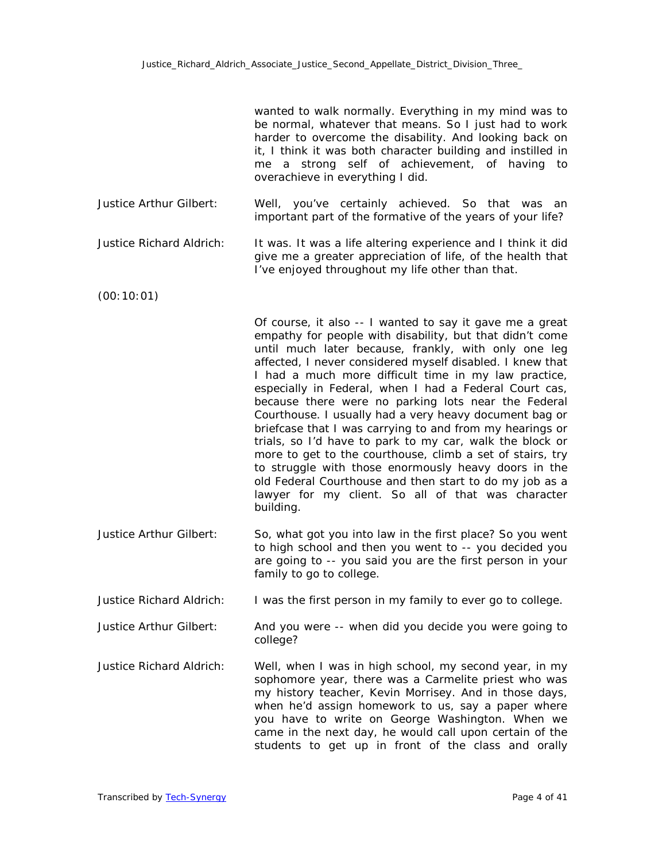wanted to walk normally. Everything in my mind was to be normal, whatever that means. So I just had to work harder to overcome the disability. And looking back on it, I think it was both character building and instilled in me a strong self of achievement, of having to overachieve in everything I did.

- Justice Arthur Gilbert: Well, you've certainly achieved. So that was an important part of the formative of the years of your life?
- Justice Richard Aldrich: It was. It was a life altering experience and I think it did give me a greater appreciation of life, of the health that I've enjoyed throughout my life other than that.
- (00:10:01)

Of course, it also -- I wanted to say it gave me a great empathy for people with disability, but that didn't come until much later because, frankly, with only one leg affected, I never considered myself disabled. I knew that I had a much more difficult time in my law practice, especially in Federal, when I had a Federal Court cas, because there were no parking lots near the Federal Courthouse. I usually had a very heavy document bag or briefcase that I was carrying to and from my hearings or trials, so I'd have to park to my car, walk the block or more to get to the courthouse, climb a set of stairs, try to struggle with those enormously heavy doors in the old Federal Courthouse and then start to do my job as a lawyer for my client. So all of that was character building.

- Justice Arthur Gilbert: So, what got you into law in the first place? So you went to high school and then you went to -- you decided you are going to -- you said you are the first person in your family to go to college.
- Justice Richard Aldrich: I was the first person in my family to ever go to college.
- Justice Arthur Gilbert: And you were -- when did you decide you were going to college?
- Justice Richard Aldrich: Well, when I was in high school, my second year, in my sophomore year, there was a Carmelite priest who was my history teacher, Kevin Morrisey. And in those days, when he'd assign homework to us, say a paper where you have to write on George Washington. When we came in the next day, he would call upon certain of the students to get up in front of the class and orally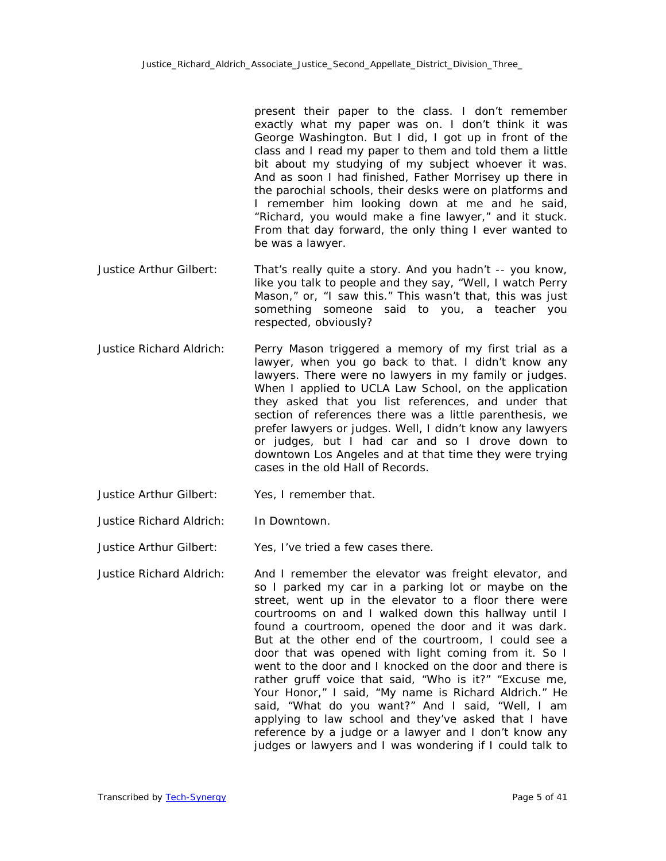present their paper to the class. I don't remember exactly what my paper was on. I don't think it was George Washington. But I did, I got up in front of the class and I read my paper to them and told them a little bit about my studying of my subject whoever it was. And as soon I had finished, Father Morrisey up there in the parochial schools, their desks were on platforms and I remember him looking down at me and he said, "Richard, you would make a fine lawyer," and it stuck. From that day forward, the only thing I ever wanted to be was a lawyer.

- Justice Arthur Gilbert: That's really quite a story. And you hadn't -- you know, like you talk to people and they say, "Well, I watch Perry Mason," or, "I saw this." This wasn't that, this was just something someone said to you, a teacher you respected, obviously?
- Justice Richard Aldrich: Perry Mason triggered a memory of my first trial as a lawyer, when you go back to that. I didn't know any lawyers. There were no lawyers in my family or judges. When I applied to UCLA Law School, on the application they asked that you list references, and under that section of references there was a little parenthesis, we prefer lawyers or judges. Well, I didn't know any lawyers or judges, but I had car and so I drove down to downtown Los Angeles and at that time they were trying cases in the old Hall of Records.
- Justice Arthur Gilbert: Yes, I remember that.
- Justice Richard Aldrich: In Downtown.
- Justice Arthur Gilbert: Yes, I've tried a few cases there.
- Justice Richard Aldrich: And I remember the elevator was freight elevator, and so I parked my car in a parking lot or maybe on the street, went up in the elevator to a floor there were courtrooms on and I walked down this hallway until I found a courtroom, opened the door and it was dark. But at the other end of the courtroom, I could see a door that was opened with light coming from it. So I went to the door and I knocked on the door and there is rather gruff voice that said, "Who is it?" "Excuse me, Your Honor," I said, "My name is Richard Aldrich." He said, "What do you want?" And I said, "Well, I am applying to law school and they've asked that I have reference by a judge or a lawyer and I don't know any judges or lawyers and I was wondering if I could talk to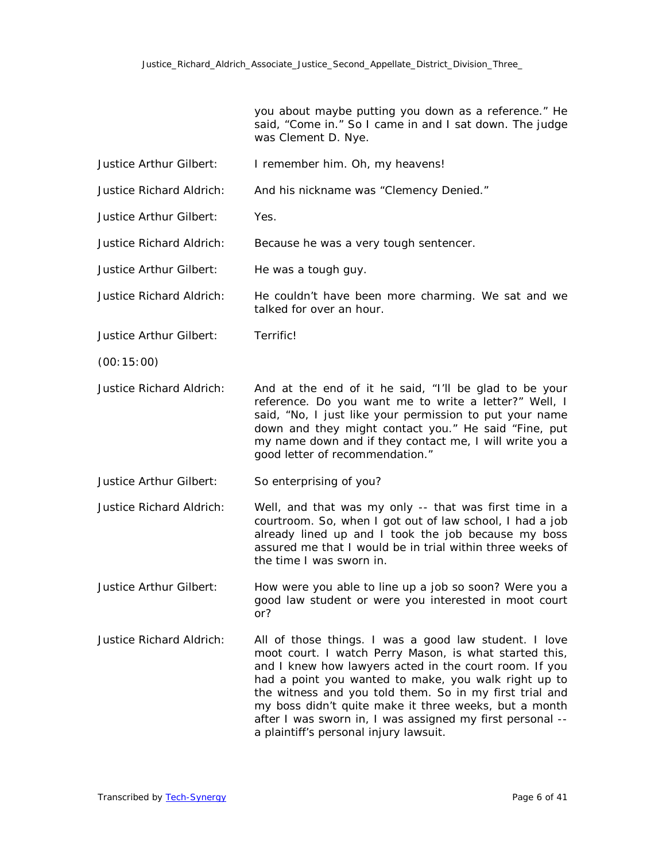you about maybe putting you down as a reference." He said, "Come in." So I came in and I sat down. The judge was Clement D. Nye.

- Justice Arthur Gilbert: I remember him. Oh, my heavens!
- Justice Richard Aldrich: And his nickname was "Clemency Denied."
- Justice Arthur Gilbert: Yes.

Justice Richard Aldrich: Because he was a very tough sentencer.

- Justice Arthur Gilbert: He was a tough guy.
- Justice Richard Aldrich: He couldn't have been more charming. We sat and we talked for over an hour.
- Justice Arthur Gilbert: Terrific!
- (00:15:00)
- Justice Richard Aldrich: And at the end of it he said, "I'll be glad to be your reference. Do you want me to write a letter?" Well, I said, "No, I just like your permission to put your name down and they might contact you." He said "Fine, put my name down and if they contact me, I will write you a good letter of recommendation."
- Justice Arthur Gilbert: So enterprising of you?
- Justice Richard Aldrich: Well, and that was my only -- that was first time in a courtroom. So, when I got out of law school, I had a job already lined up and I took the job because my boss assured me that I would be in trial within three weeks of the time I was sworn in.
- Justice Arthur Gilbert: How were you able to line up a job so soon? Were you a good law student or were you interested in moot court or?
- Justice Richard Aldrich: All of those things. I was a good law student. I love moot court. I watch Perry Mason, is what started this, and I knew how lawyers acted in the court room. If you had a point you wanted to make, you walk right up to the witness and you told them. So in my first trial and my boss didn't quite make it three weeks, but a month after I was sworn in, I was assigned my first personal - a plaintiff's personal injury lawsuit.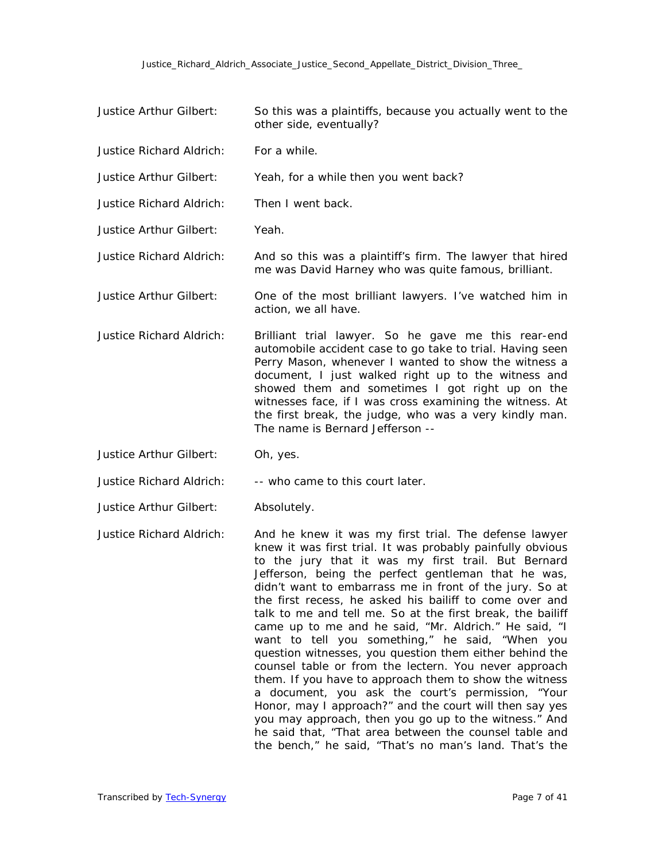- Justice Arthur Gilbert: So this was a plaintiffs, because you actually went to the other side, eventually?
- Justice Richard Aldrich: For a while.
- Justice Arthur Gilbert: Yeah, for a while then you went back?
- Justice Richard Aldrich: Then I went back.
- Justice Arthur Gilbert: Yeah.
- Justice Richard Aldrich: And so this was a plaintiff's firm. The lawyer that hired me was David Harney who was quite famous, brilliant.
- Justice Arthur Gilbert: One of the most brilliant lawyers. I've watched him in action, we all have.
- Justice Richard Aldrich: Brilliant trial lawyer. So he gave me this rear-end automobile accident case to go take to trial. Having seen Perry Mason, whenever I wanted to show the witness a document, I just walked right up to the witness and showed them and sometimes I got right up on the witnesses face, if I was cross examining the witness. At the first break, the judge, who was a very kindly man. The name is Bernard Jefferson --
- Justice Arthur Gilbert: Oh, yes.
- Justice Richard Aldrich: -- who came to this court later.
- Justice Arthur Gilbert: Absolutely.

Justice Richard Aldrich: And he knew it was my first trial. The defense lawyer knew it was first trial. It was probably painfully obvious to the jury that it was my first trail. But Bernard Jefferson, being the perfect gentleman that he was, didn't want to embarrass me in front of the jury. So at the first recess, he asked his bailiff to come over and talk to me and tell me. So at the first break, the bailiff came up to me and he said, "Mr. Aldrich." He said, "I want to tell you something," he said, "When you question witnesses, you question them either behind the counsel table or from the lectern. You never approach them. If you have to approach them to show the witness a document, you ask the court's permission, "Your Honor, may I approach?" and the court will then say yes you may approach, then you go up to the witness." And he said that, "That area between the counsel table and the bench," he said, "That's no man's land. That's the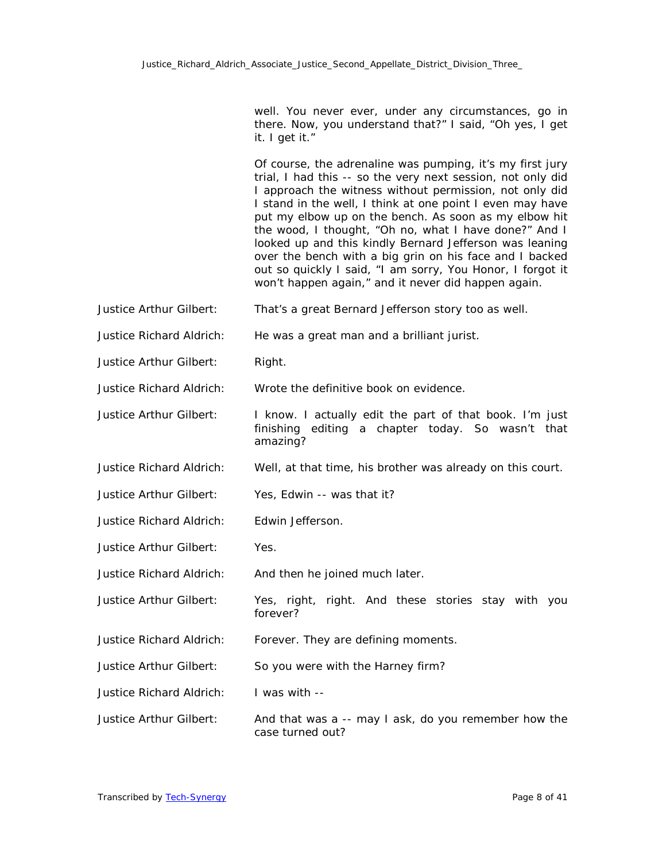well. You never ever, under any circumstances, go in there. Now, you understand that?" I said, "Oh yes, I get it. I get it."

Of course, the adrenaline was pumping, it's my first jury trial, I had this -- so the very next session, not only did I approach the witness without permission, not only did I stand in the well, I think at one point I even may have put my elbow up on the bench. As soon as my elbow hit the wood, I thought, "Oh no, what I have done?" And I looked up and this kindly Bernard Jefferson was leaning over the bench with a big grin on his face and I backed out so quickly I said, "I am sorry, You Honor, I forgot it won't happen again," and it never did happen again.

- Justice Arthur Gilbert: That's a great Bernard Jefferson story too as well.
- Justice Richard Aldrich: He was a great man and a brilliant jurist.
- Justice Arthur Gilbert: Right.
- Justice Richard Aldrich: Wrote the definitive book on evidence.
- Justice Arthur Gilbert: I know. I actually edit the part of that book. I'm just finishing editing a chapter today. So wasn't that amazing?
- Justice Richard Aldrich: Well, at that time, his brother was already on this court.
- Justice Arthur Gilbert: Yes, Edwin -- was that it?
- Justice Richard Aldrich: Edwin Jefferson.
- Justice Arthur Gilbert: Yes.
- Justice Richard Aldrich: And then he joined much later.
- Justice Arthur Gilbert: Yes, right, right. And these stories stay with you forever?
- Justice Richard Aldrich: Forever. They are defining moments.
- Justice Arthur Gilbert: So you were with the Harney firm?
- Justice Richard Aldrich: I was with --
- Justice Arthur Gilbert: And that was a -- may I ask, do you remember how the case turned out?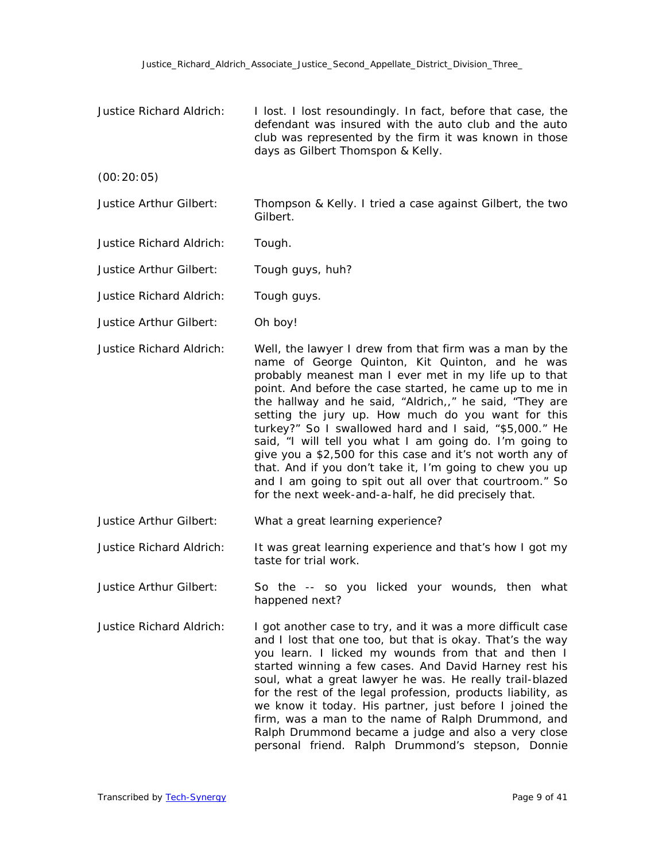Justice Richard Aldrich: I lost. I lost resoundingly. In fact, before that case, the defendant was insured with the auto club and the auto club was represented by the firm it was known in those days as Gilbert Thomspon & Kelly.

(00:20:05)

- Justice Arthur Gilbert: Thompson & Kelly. I tried a case against Gilbert, the two Gilbert.
- Justice Richard Aldrich: Tough.
- Justice Arthur Gilbert: Tough guys, huh?
- Justice Richard Aldrich: Tough guys.
- Justice Arthur Gilbert: Oh boy!
- Justice Richard Aldrich: Well, the lawyer I drew from that firm was a man by the name of George Quinton, Kit Quinton, and he was probably meanest man I ever met in my life up to that point. And before the case started, he came up to me in the hallway and he said, "Aldrich,," he said, "They are setting the jury up. How much do you want for this turkey?" So I swallowed hard and I said, "\$5,000." He said, "I will tell you what I am going do. I'm going to give you a \$2,500 for this case and it's not worth any of that. And if you don't take it, I'm going to chew you up and I am going to spit out all over that courtroom." So for the next week-and-a-half, he did precisely that.
- Justice Arthur Gilbert: What a great learning experience?
- Justice Richard Aldrich: It was great learning experience and that's how I got my taste for trial work.
- Justice Arthur Gilbert: So the -- so you licked your wounds, then what happened next?
- Justice Richard Aldrich: I got another case to try, and it was a more difficult case and I lost that one too, but that is okay. That's the way you learn. I licked my wounds from that and then I started winning a few cases. And David Harney rest his soul, what a great lawyer he was. He really trail-blazed for the rest of the legal profession, products liability, as we know it today. His partner, just before I joined the firm, was a man to the name of Ralph Drummond, and Ralph Drummond became a judge and also a very close personal friend. Ralph Drummond's stepson, Donnie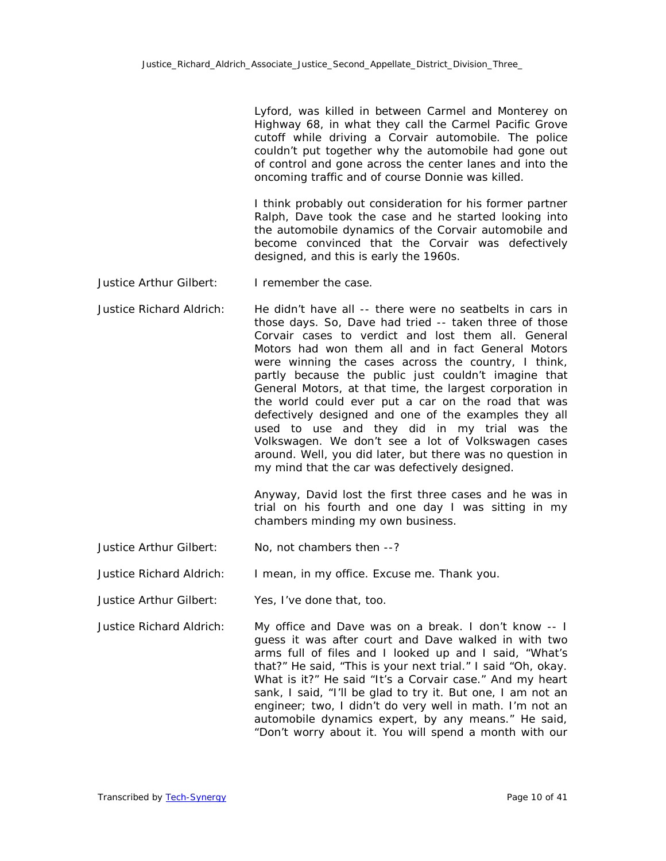Lyford, was killed in between Carmel and Monterey on Highway 68, in what they call the Carmel Pacific Grove cutoff while driving a Corvair automobile. The police couldn't put together why the automobile had gone out of control and gone across the center lanes and into the oncoming traffic and of course Donnie was killed.

I think probably out consideration for his former partner Ralph, Dave took the case and he started looking into the automobile dynamics of the Corvair automobile and become convinced that the Corvair was defectively designed, and this is early the 1960s.

- Justice Arthur Gilbert: I remember the case.
- Justice Richard Aldrich: He didn't have all -- there were no seatbelts in cars in those days. So, Dave had tried -- taken three of those Corvair cases to verdict and lost them all. General Motors had won them all and in fact General Motors were winning the cases across the country, I think, partly because the public just couldn't imagine that General Motors, at that time, the largest corporation in the world could ever put a car on the road that was defectively designed and one of the examples they all used to use and they did in my trial was the Volkswagen. We don't see a lot of Volkswagen cases around. Well, you did later, but there was no question in my mind that the car was defectively designed.

Anyway, David lost the first three cases and he was in trial on his fourth and one day I was sitting in my chambers minding my own business.

Justice Arthur Gilbert: No, not chambers then --?

Justice Richard Aldrich: I mean, in my office. Excuse me. Thank you.

- Justice Arthur Gilbert: Yes, I've done that, too.
- Justice Richard Aldrich: My office and Dave was on a break. I don't know -- I guess it was after court and Dave walked in with two arms full of files and I looked up and I said, "What's that?" He said, "This is your next trial." I said "Oh, okay. What is it?" He said "It's a Corvair case." And my heart sank, I said, "I'll be glad to try it. But one, I am not an engineer; two, I didn't do very well in math. I'm not an automobile dynamics expert, by any means." He said, "Don't worry about it. You will spend a month with our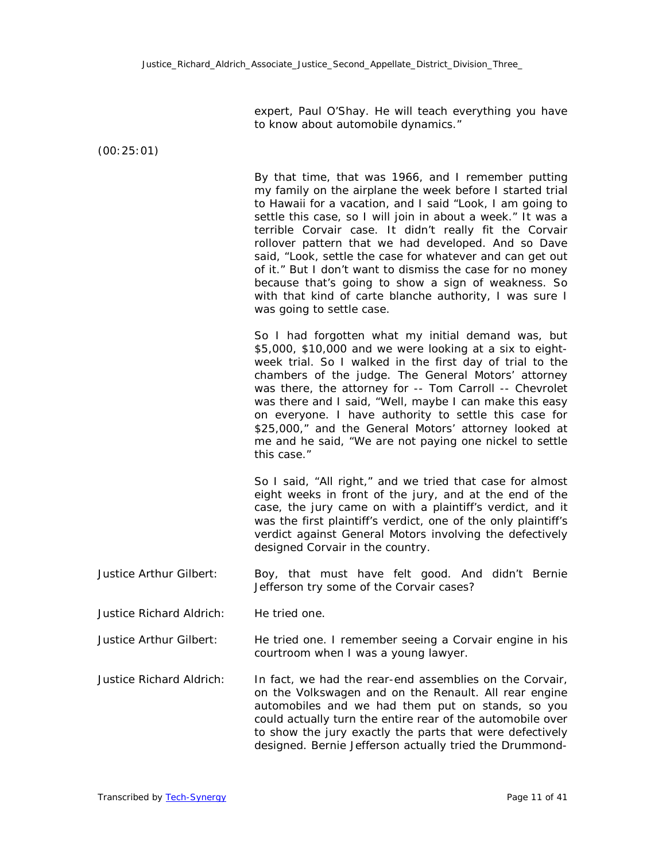expert, Paul O'Shay. He will teach everything you have to know about automobile dynamics."

(00:25:01)

By that time, that was 1966, and I remember putting my family on the airplane the week before I started trial to Hawaii for a vacation, and I said "Look, I am going to settle this case, so I will join in about a week." It was a terrible Corvair case. It didn't really fit the Corvair rollover pattern that we had developed. And so Dave said, "Look, settle the case for whatever and can get out of it." But I don't want to dismiss the case for no money because that's going to show a sign of weakness. So with that kind of carte blanche authority, I was sure I was going to settle case.

So I had forgotten what my initial demand was, but \$5,000, \$10,000 and we were looking at a six to eightweek trial. So I walked in the first day of trial to the chambers of the judge. The General Motors' attorney was there, the attorney for -- Tom Carroll -- Chevrolet was there and I said, "Well, maybe I can make this easy on everyone. I have authority to settle this case for \$25,000," and the General Motors' attorney looked at me and he said, "We are not paying one nickel to settle this case."

So I said, "All right," and we tried that case for almost eight weeks in front of the jury, and at the end of the case, the jury came on with a plaintiff's verdict, and it was the first plaintiff's verdict, one of the only plaintiff's verdict against General Motors involving the defectively designed Corvair in the country.

- Justice Arthur Gilbert: Boy, that must have felt good. And didn't Bernie Jefferson try some of the Corvair cases?
- Justice Richard Aldrich: He tried one.

Justice Arthur Gilbert: He tried one. I remember seeing a Corvair engine in his courtroom when I was a young lawyer.

Justice Richard Aldrich: In fact, we had the rear-end assemblies on the Corvair, on the Volkswagen and on the Renault. All rear engine automobiles and we had them put on stands, so you could actually turn the entire rear of the automobile over to show the jury exactly the parts that were defectively designed. Bernie Jefferson actually tried the Drummond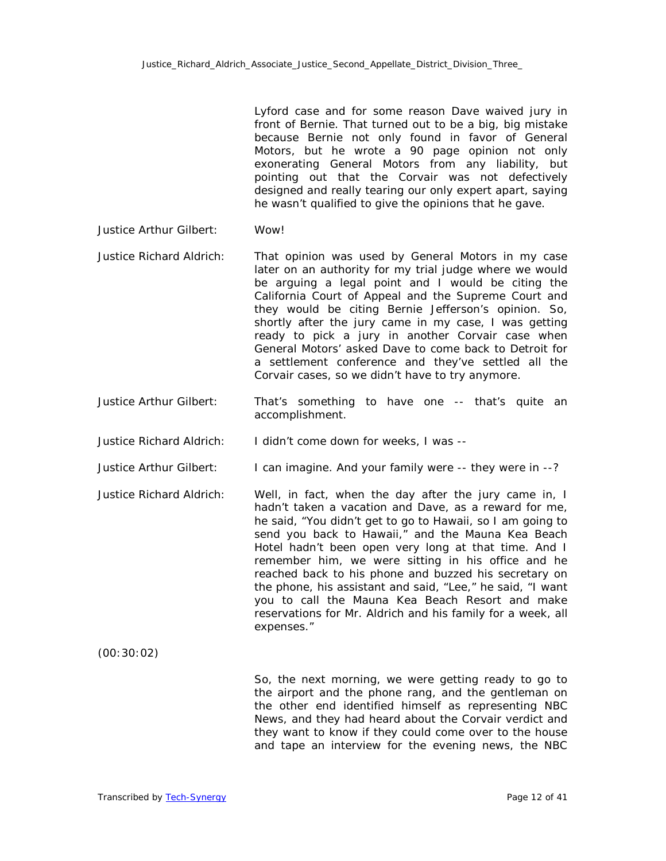Lyford case and for some reason Dave waived jury in front of Bernie. That turned out to be a big, big mistake because Bernie not only found in favor of General Motors, but he wrote a 90 page opinion not only exonerating General Motors from any liability, but pointing out that the Corvair was not defectively designed and really tearing our only expert apart, saying he wasn't qualified to give the opinions that he gave.

## Justice Arthur Gilbert: Wow!

- Justice Richard Aldrich: That opinion was used by General Motors in my case later on an authority for my trial judge where we would be arguing a legal point and I would be citing the California Court of Appeal and the Supreme Court and they would be citing Bernie Jefferson's opinion. So, shortly after the jury came in my case, I was getting ready to pick a jury in another Corvair case when General Motors' asked Dave to come back to Detroit for a settlement conference and they've settled all the Corvair cases, so we didn't have to try anymore.
- Justice Arthur Gilbert: That's something to have one -- that's quite an accomplishment.
- Justice Richard Aldrich: I didn't come down for weeks, I was --

Justice Arthur Gilbert: I can imagine. And your family were -- they were in --?

Justice Richard Aldrich: Well, in fact, when the day after the jury came in, I hadn't taken a vacation and Dave, as a reward for me, he said, "You didn't get to go to Hawaii, so I am going to send you back to Hawaii," and the Mauna Kea Beach Hotel hadn't been open very long at that time. And I remember him, we were sitting in his office and he reached back to his phone and buzzed his secretary on the phone, his assistant and said, "Lee," he said, "I want you to call the Mauna Kea Beach Resort and make reservations for Mr. Aldrich and his family for a week, all expenses."

(00:30:02)

So, the next morning, we were getting ready to go to the airport and the phone rang, and the gentleman on the other end identified himself as representing NBC News, and they had heard about the Corvair verdict and they want to know if they could come over to the house and tape an interview for the evening news, the NBC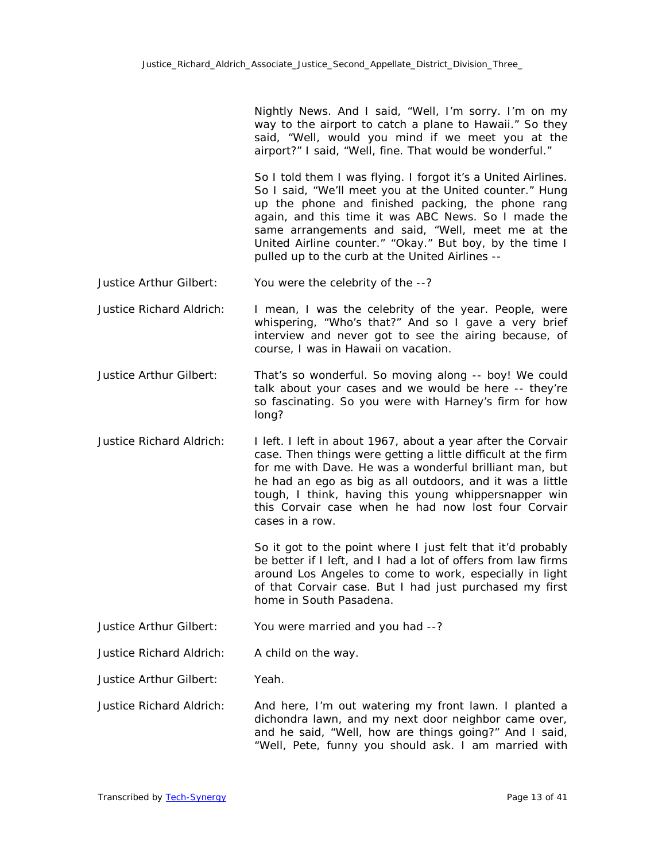Nightly News. And I said, "Well, I'm sorry. I'm on my way to the airport to catch a plane to Hawaii." So they said, "Well, would you mind if we meet you at the airport?" I said, "Well, fine. That would be wonderful."

So I told them I was flying. I forgot it's a United Airlines. So I said, "We'll meet you at the United counter." Hung up the phone and finished packing, the phone rang again, and this time it was ABC News. So I made the same arrangements and said, "Well, meet me at the United Airline counter." "Okay." But boy, by the time I pulled up to the curb at the United Airlines --

- Justice Arthur Gilbert: You were the celebrity of the --?
- Justice Richard Aldrich: I mean, I was the celebrity of the year. People, were whispering, "Who's that?" And so I gave a very brief interview and never got to see the airing because, of course, I was in Hawaii on vacation.
- Justice Arthur Gilbert: That's so wonderful. So moving along -- boy! We could talk about your cases and we would be here -- they're so fascinating. So you were with Harney's firm for how long?
- Justice Richard Aldrich: I left. I left in about 1967, about a year after the Corvair case. Then things were getting a little difficult at the firm for me with Dave. He was a wonderful brilliant man, but he had an ego as big as all outdoors, and it was a little tough, I think, having this young whippersnapper win this Corvair case when he had now lost four Corvair cases in a row.

So it got to the point where I just felt that it'd probably be better if I left, and I had a lot of offers from law firms around Los Angeles to come to work, especially in light of that Corvair case. But I had just purchased my first home in South Pasadena.

Justice Arthur Gilbert: You were married and you had --?

Justice Richard Aldrich: A child on the way.

Justice Arthur Gilbert: Yeah.

Justice Richard Aldrich: And here, I'm out watering my front lawn. I planted a dichondra lawn, and my next door neighbor came over, and he said, "Well, how are things going?" And I said, "Well, Pete, funny you should ask. I am married with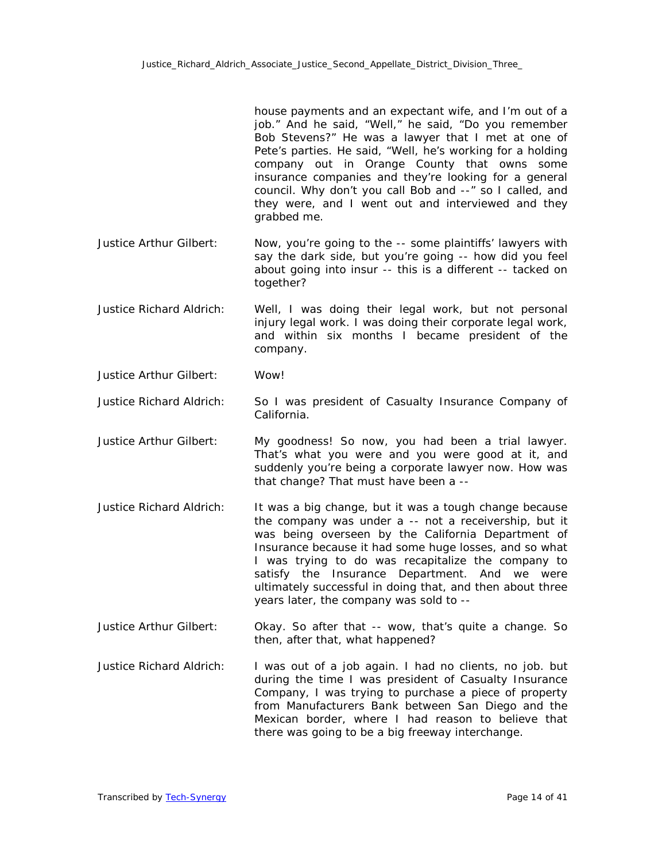house payments and an expectant wife, and I'm out of a job." And he said, "Well," he said, "Do you remember Bob Stevens?" He was a lawyer that I met at one of Pete's parties. He said, "Well, he's working for a holding company out in Orange County that owns some insurance companies and they're looking for a general council. Why don't you call Bob and --" so I called, and they were, and I went out and interviewed and they grabbed me.

- Justice Arthur Gilbert: Now, you're going to the -- some plaintiffs' lawyers with say the dark side, but you're going -- how did you feel about going into insur -- this is a different -- tacked on together?
- Justice Richard Aldrich: Well, I was doing their legal work, but not personal injury legal work. I was doing their corporate legal work, and within six months I became president of the company.
- Justice Arthur Gilbert: Wow!
- Justice Richard Aldrich: So I was president of Casualty Insurance Company of California.
- Justice Arthur Gilbert: My goodness! So now, you had been a trial lawyer. That's what you were and you were good at it, and suddenly you're being a corporate lawyer now. How was that change? That must have been a --
- Justice Richard Aldrich: It was a big change, but it was a tough change because the company was under a -- not a receivership, but it was being overseen by the California Department of Insurance because it had some huge losses, and so what I was trying to do was recapitalize the company to satisfy the Insurance Department. And we were ultimately successful in doing that, and then about three years later, the company was sold to --
- Justice Arthur Gilbert: Okay. So after that -- wow, that's quite a change. So then, after that, what happened?
- Justice Richard Aldrich: I was out of a job again. I had no clients, no job. but during the time I was president of Casualty Insurance Company, I was trying to purchase a piece of property from Manufacturers Bank between San Diego and the Mexican border, where I had reason to believe that there was going to be a big freeway interchange.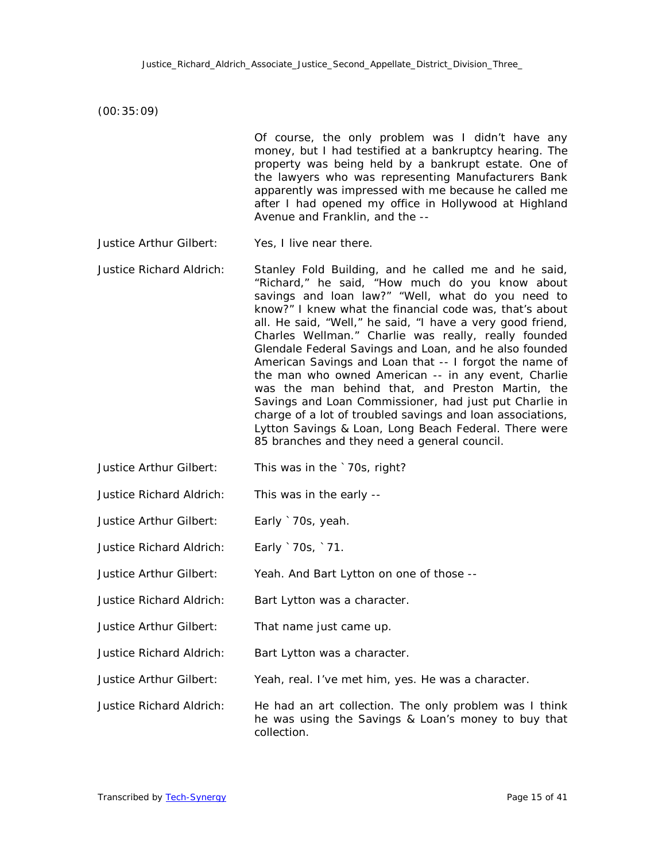(00:35:09)

Of course, the only problem was I didn't have any money, but I had testified at a bankruptcy hearing. The property was being held by a bankrupt estate. One of the lawyers who was representing Manufacturers Bank apparently was impressed with me because he called me after I had opened my office in Hollywood at Highland Avenue and Franklin, and the --

- Justice Arthur Gilbert: Yes, I live near there.
- Justice Richard Aldrich: Stanley Fold Building, and he called me and he said, "Richard," he said, "How much do you know about savings and loan law?" "Well, what do you need to know?" I knew what the financial code was, that's about all. He said, "Well," he said, "I have a very good friend, Charles Wellman." Charlie was really, really founded Glendale Federal Savings and Loan, and he also founded American Savings and Loan that -- I forgot the name of the man who owned American -- in any event, Charlie was the man behind that, and Preston Martin, the Savings and Loan Commissioner, had just put Charlie in charge of a lot of troubled savings and loan associations, Lytton Savings & Loan, Long Beach Federal. There were 85 branches and they need a general council.
- Justice Arthur Gilbert: This was in the `70s, right?
- Justice Richard Aldrich: This was in the early --
- Justice Arthur Gilbert: Early `70s, yeah.
- Justice Richard Aldrich: Early `70s, `71.
- Justice Arthur Gilbert: Yeah. And Bart Lytton on one of those --
- Justice Richard Aldrich: Bart Lytton was a character.
- Justice Arthur Gilbert: That name just came up.
- Justice Richard Aldrich: Bart Lytton was a character.
- Justice Arthur Gilbert: Yeah, real. I've met him, yes. He was a character.

Justice Richard Aldrich: He had an art collection. The only problem was I think he was using the Savings & Loan's money to buy that collection.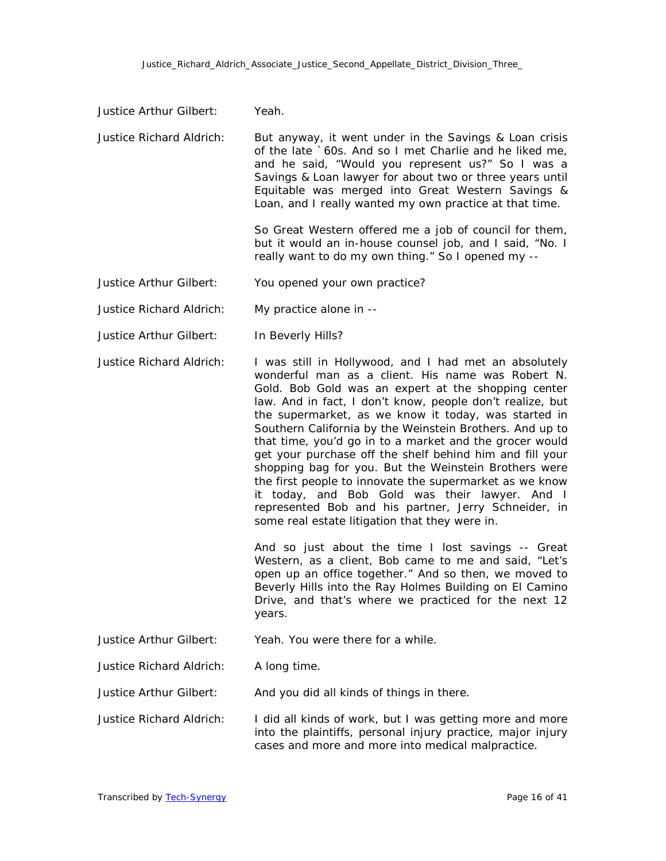Justice Arthur Gilbert: Yeah.

| <b>Justice Richard Aldrich:</b> | But anyway, it went under in the Savings & Loan crisis<br>of the late `60s. And so I met Charlie and he liked me,<br>and he said, "Would you represent us?" So I was a<br>Savings & Loan lawyer for about two or three years until<br>Equitable was merged into Great Western Savings &<br>Loan, and I really wanted my own practice at that time.                                                                                                                                                                                                                                                                                                                                                                                                                                                                                                                                                                                                                                                                                                             |
|---------------------------------|----------------------------------------------------------------------------------------------------------------------------------------------------------------------------------------------------------------------------------------------------------------------------------------------------------------------------------------------------------------------------------------------------------------------------------------------------------------------------------------------------------------------------------------------------------------------------------------------------------------------------------------------------------------------------------------------------------------------------------------------------------------------------------------------------------------------------------------------------------------------------------------------------------------------------------------------------------------------------------------------------------------------------------------------------------------|
|                                 | So Great Western offered me a job of council for them,<br>but it would an in-house counsel job, and I said, "No. I<br>really want to do my own thing." So I opened my --                                                                                                                                                                                                                                                                                                                                                                                                                                                                                                                                                                                                                                                                                                                                                                                                                                                                                       |
| Justice Arthur Gilbert:         | You opened your own practice?                                                                                                                                                                                                                                                                                                                                                                                                                                                                                                                                                                                                                                                                                                                                                                                                                                                                                                                                                                                                                                  |
| <b>Justice Richard Aldrich:</b> | My practice alone in --                                                                                                                                                                                                                                                                                                                                                                                                                                                                                                                                                                                                                                                                                                                                                                                                                                                                                                                                                                                                                                        |
| Justice Arthur Gilbert:         | In Beverly Hills?                                                                                                                                                                                                                                                                                                                                                                                                                                                                                                                                                                                                                                                                                                                                                                                                                                                                                                                                                                                                                                              |
| <b>Justice Richard Aldrich:</b> | I was still in Hollywood, and I had met an absolutely<br>wonderful man as a client. His name was Robert N.<br>Gold. Bob Gold was an expert at the shopping center<br>law. And in fact, I don't know, people don't realize, but<br>the supermarket, as we know it today, was started in<br>Southern California by the Weinstein Brothers. And up to<br>that time, you'd go in to a market and the grocer would<br>get your purchase off the shelf behind him and fill your<br>shopping bag for you. But the Weinstein Brothers were<br>the first people to innovate the supermarket as we know<br>it today, and Bob Gold was their lawyer. And I<br>represented Bob and his partner, Jerry Schneider, in<br>some real estate litigation that they were in.<br>And so just about the time I lost savings -- Great<br>Western, as a client, Bob came to me and said, "Let's<br>open up an office together." And so then, we moved to<br>Beverly Hills into the Ray Holmes Building on El Camino<br>Drive, and that's where we practiced for the next 12<br>years. |
| Justice Arthur Gilbert:         | Yeah. You were there for a while.                                                                                                                                                                                                                                                                                                                                                                                                                                                                                                                                                                                                                                                                                                                                                                                                                                                                                                                                                                                                                              |
| Justice Richard Aldrich:        | A long time.                                                                                                                                                                                                                                                                                                                                                                                                                                                                                                                                                                                                                                                                                                                                                                                                                                                                                                                                                                                                                                                   |
| Justice Arthur Gilbert:         | And you did all kinds of things in there.                                                                                                                                                                                                                                                                                                                                                                                                                                                                                                                                                                                                                                                                                                                                                                                                                                                                                                                                                                                                                      |
| <b>Justice Richard Aldrich:</b> | I did all kinds of work, but I was getting more and more<br>into the plaintiffs, personal injury practice, major injury<br>cases and more and more into medical malpractice.                                                                                                                                                                                                                                                                                                                                                                                                                                                                                                                                                                                                                                                                                                                                                                                                                                                                                   |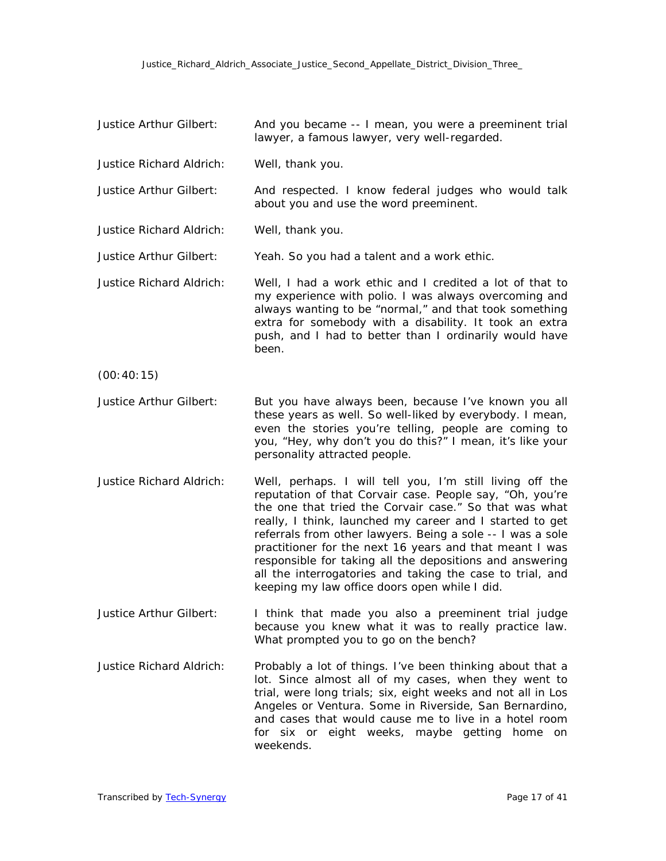| Justice Arthur Gilbert:         | And you became -- I mean, you were a preeminent trial<br>lawyer, a famous lawyer, very well-regarded.                                                                                                                                                                                                                                                                                                                                                                                                                                         |
|---------------------------------|-----------------------------------------------------------------------------------------------------------------------------------------------------------------------------------------------------------------------------------------------------------------------------------------------------------------------------------------------------------------------------------------------------------------------------------------------------------------------------------------------------------------------------------------------|
| Justice Richard Aldrich:        | Well, thank you.                                                                                                                                                                                                                                                                                                                                                                                                                                                                                                                              |
| Justice Arthur Gilbert:         | And respected. I know federal judges who would talk<br>about you and use the word preeminent.                                                                                                                                                                                                                                                                                                                                                                                                                                                 |
| <b>Justice Richard Aldrich:</b> | Well, thank you.                                                                                                                                                                                                                                                                                                                                                                                                                                                                                                                              |
| Justice Arthur Gilbert:         | Yeah. So you had a talent and a work ethic.                                                                                                                                                                                                                                                                                                                                                                                                                                                                                                   |
| <b>Justice Richard Aldrich:</b> | Well, I had a work ethic and I credited a lot of that to<br>my experience with polio. I was always overcoming and<br>always wanting to be "normal," and that took something<br>extra for somebody with a disability. It took an extra<br>push, and I had to better than I ordinarily would have<br>been.                                                                                                                                                                                                                                      |
| (00:40:15)                      |                                                                                                                                                                                                                                                                                                                                                                                                                                                                                                                                               |
| Justice Arthur Gilbert:         | But you have always been, because I've known you all<br>these years as well. So well-liked by everybody. I mean,<br>even the stories you're telling, people are coming to<br>you, "Hey, why don't you do this?" I mean, it's like your<br>personality attracted people.                                                                                                                                                                                                                                                                       |
| <b>Justice Richard Aldrich:</b> | Well, perhaps. I will tell you, I'm still living off the<br>reputation of that Corvair case. People say, "Oh, you're<br>the one that tried the Corvair case." So that was what<br>really, I think, launched my career and I started to get<br>referrals from other lawyers. Being a sole -- I was a sole<br>practitioner for the next 16 years and that meant I was<br>responsible for taking all the depositions and answering<br>all the interrogatories and taking the case to trial, and<br>keeping my law office doors open while I did. |
| Justice Arthur Gilbert:         | I think that made you also a preeminent trial judge<br>because you knew what it was to really practice law.<br>What prompted you to go on the bench?                                                                                                                                                                                                                                                                                                                                                                                          |
| <b>Justice Richard Aldrich:</b> | Probably a lot of things. I've been thinking about that a<br>lot. Since almost all of my cases, when they went to<br>trial, were long trials; six, eight weeks and not all in Los<br>Angeles or Ventura. Some in Riverside, San Bernardino,<br>and cases that would cause me to live in a hotel room<br>for six or eight weeks, maybe getting home on<br>weekends.                                                                                                                                                                            |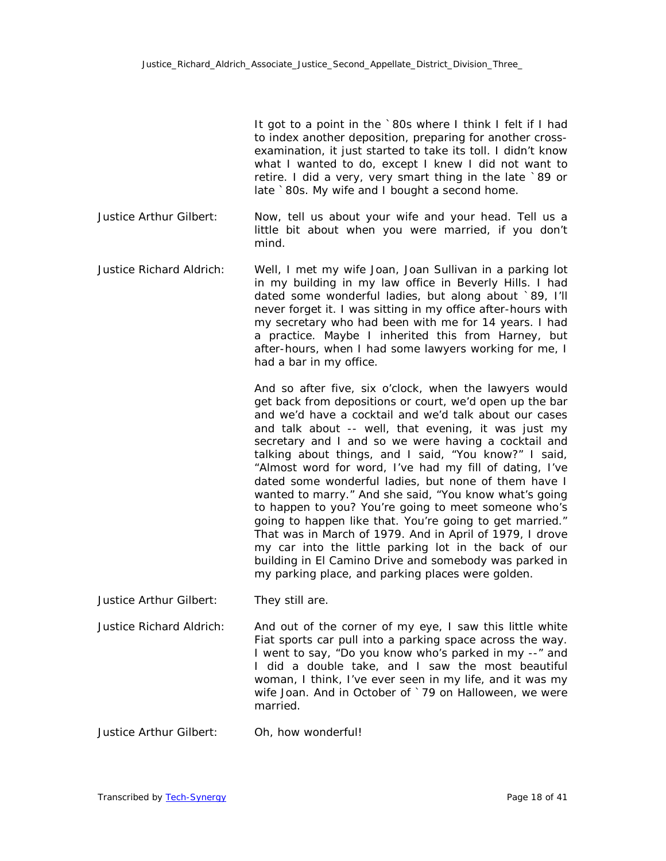It got to a point in the `80s where I think I felt if I had to index another deposition, preparing for another crossexamination, it just started to take its toll. I didn't know what I wanted to do, except I knew I did not want to retire. I did a very, very smart thing in the late `89 or late `80s. My wife and I bought a second home.

- Justice Arthur Gilbert: Now, tell us about your wife and your head. Tell us a little bit about when you were married, if you don't mind.
- Justice Richard Aldrich: Well, I met my wife Joan, Joan Sullivan in a parking lot in my building in my law office in Beverly Hills. I had dated some wonderful ladies, but along about `89, I'll never forget it. I was sitting in my office after-hours with my secretary who had been with me for 14 years. I had a practice. Maybe I inherited this from Harney, but after-hours, when I had some lawyers working for me, I had a bar in my office.

And so after five, six o'clock, when the lawyers would get back from depositions or court, we'd open up the bar and we'd have a cocktail and we'd talk about our cases and talk about -- well, that evening, it was just my secretary and I and so we were having a cocktail and talking about things, and I said, "You know?" I said, "Almost word for word, I've had my fill of dating, I've dated some wonderful ladies, but none of them have I wanted to marry." And she said, "You know what's going to happen to you? You're going to meet someone who's going to happen like that. You're going to get married." That was in March of 1979. And in April of 1979, I drove my car into the little parking lot in the back of our building in El Camino Drive and somebody was parked in my parking place, and parking places were golden.

- Justice Arthur Gilbert: They still are.
- Justice Richard Aldrich: And out of the corner of my eye, I saw this little white Fiat sports car pull into a parking space across the way. I went to say, "Do you know who's parked in my --" and I did a double take, and I saw the most beautiful woman, I think, I've ever seen in my life, and it was my wife Joan. And in October of `79 on Halloween, we were married.
- Justice Arthur Gilbert: Oh, how wonderful!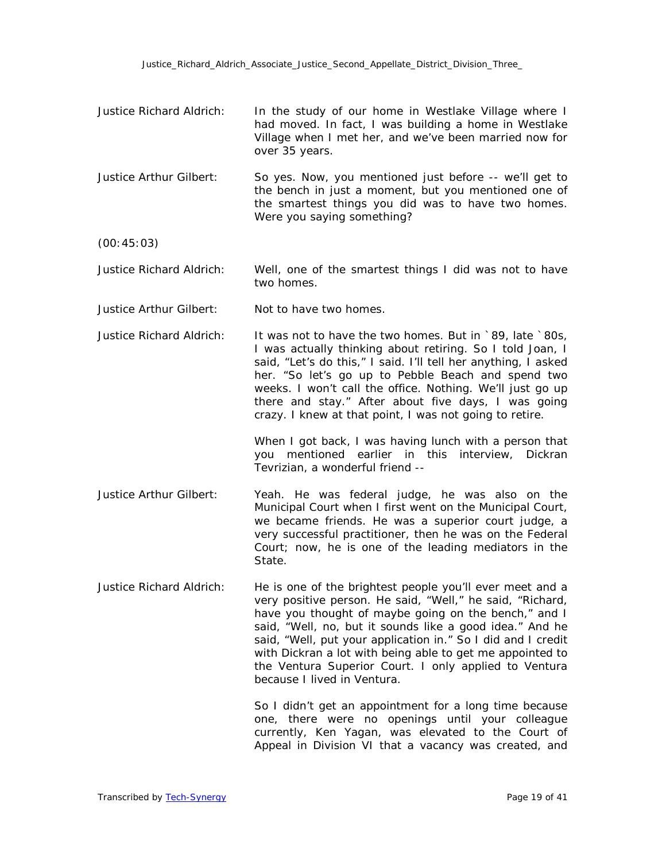- Justice Richard Aldrich: In the study of our home in Westlake Village where I had moved. In fact, I was building a home in Westlake Village when I met her, and we've been married now for over 35 years.
- Justice Arthur Gilbert: So yes. Now, you mentioned just before -- we'll get to the bench in just a moment, but you mentioned one of the smartest things you did was to have two homes. Were you saying something?
- (00:45:03)

Justice Richard Aldrich: Well, one of the smartest things I did was not to have two homes.

- Justice Arthur Gilbert: Not to have two homes.
- Justice Richard Aldrich: It was not to have the two homes. But in `89, late `80s, I was actually thinking about retiring. So I told Joan, I said, "Let's do this," I said. I'll tell her anything, I asked her. "So let's go up to Pebble Beach and spend two weeks. I won't call the office. Nothing. We'll just go up there and stay." After about five days, I was going crazy. I knew at that point, I was not going to retire.

When I got back, I was having lunch with a person that you mentioned earlier in this interview, Dickran Tevrizian, a wonderful friend --

- Justice Arthur Gilbert: Yeah. He was federal judge, he was also on the Municipal Court when I first went on the Municipal Court, we became friends. He was a superior court judge, a very successful practitioner, then he was on the Federal Court; now, he is one of the leading mediators in the State.
- Justice Richard Aldrich: He is one of the brightest people you'll ever meet and a very positive person. He said, "Well," he said, "Richard, have you thought of maybe going on the bench," and I said, "Well, no, but it sounds like a good idea." And he said, "Well, put your application in." So I did and I credit with Dickran a lot with being able to get me appointed to the Ventura Superior Court. I only applied to Ventura because I lived in Ventura.

So I didn't get an appointment for a long time because one, there were no openings until your colleague currently, Ken Yagan, was elevated to the Court of Appeal in Division VI that a vacancy was created, and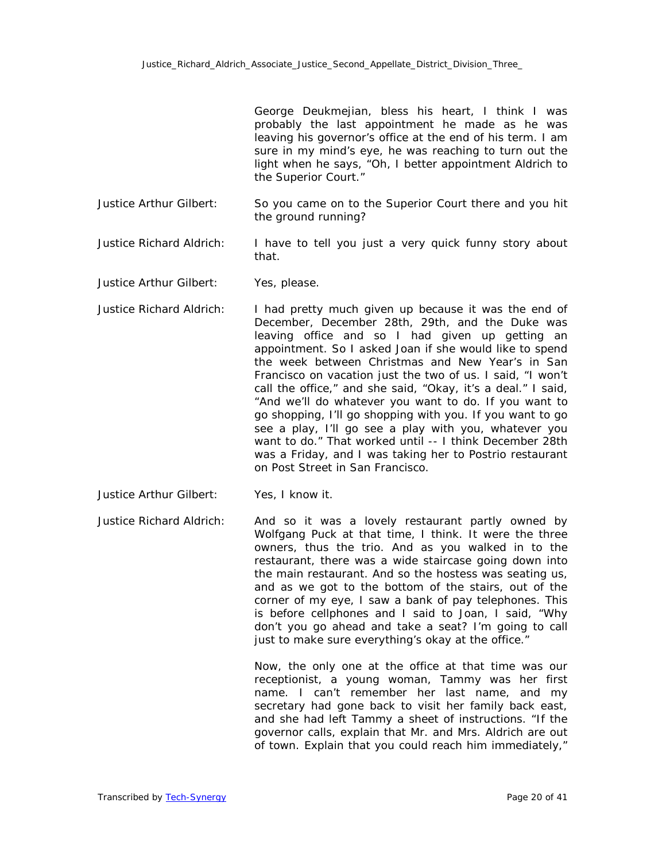George Deukmejian, bless his heart, I think I was probably the last appointment he made as he was leaving his governor's office at the end of his term. I am sure in my mind's eye, he was reaching to turn out the light when he says, "Oh, I better appointment Aldrich to the Superior Court."

- Justice Arthur Gilbert: So you came on to the Superior Court there and you hit the ground running?
- Justice Richard Aldrich: I have to tell you just a very quick funny story about that.
- Justice Arthur Gilbert: Yes, please.
- Justice Richard Aldrich: I had pretty much given up because it was the end of December, December 28th, 29th, and the Duke was leaving office and so I had given up getting an appointment. So I asked Joan if she would like to spend the week between Christmas and New Year's in San Francisco on vacation just the two of us. I said, "I won't call the office," and she said, "Okay, it's a deal." I said, "And we'll do whatever you want to do. If you want to go shopping, I'll go shopping with you. If you want to go see a play, I'll go see a play with you, whatever you want to do." That worked until -- I think December 28th was a Friday, and I was taking her to Postrio restaurant on Post Street in San Francisco.
- Justice Arthur Gilbert: Yes, I know it.
- Justice Richard Aldrich: And so it was a lovely restaurant partly owned by Wolfgang Puck at that time, I think. It were the three owners, thus the trio. And as you walked in to the restaurant, there was a wide staircase going down into the main restaurant. And so the hostess was seating us, and as we got to the bottom of the stairs, out of the corner of my eye, I saw a bank of pay telephones. This is before cellphones and I said to Joan, I said, "Why don't you go ahead and take a seat? I'm going to call just to make sure everything's okay at the office."

Now, the only one at the office at that time was our receptionist, a young woman, Tammy was her first name. I can't remember her last name, and my secretary had gone back to visit her family back east, and she had left Tammy a sheet of instructions. "If the governor calls, explain that Mr. and Mrs. Aldrich are out of town. Explain that you could reach him immediately,"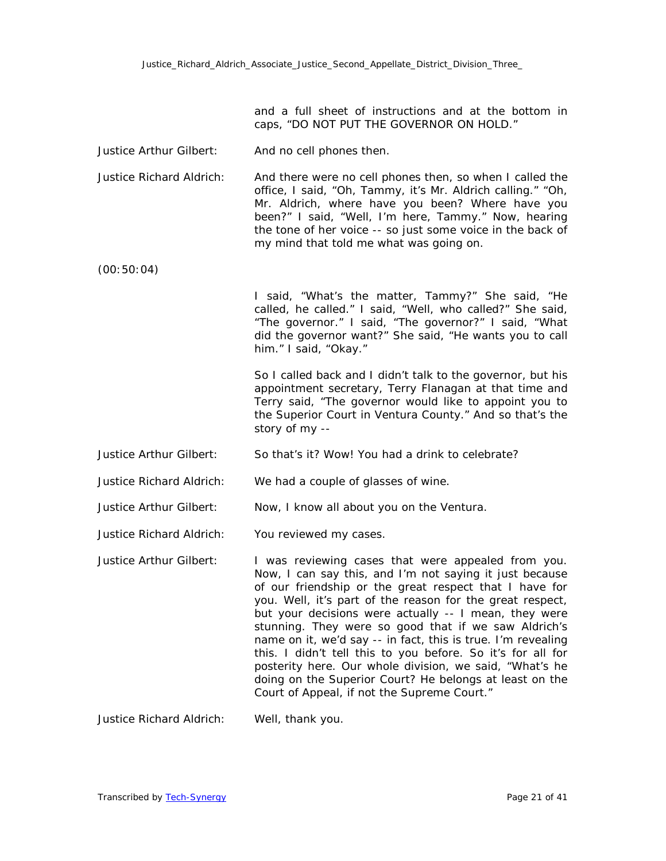and a full sheet of instructions and at the bottom in caps, "DO NOT PUT THE GOVERNOR ON HOLD."

- Justice Arthur Gilbert: And no cell phones then.
- Justice Richard Aldrich: And there were no cell phones then, so when I called the office, I said, "Oh, Tammy, it's Mr. Aldrich calling." "Oh, Mr. Aldrich, where have you been? Where have you been?" I said, "Well, I'm here, Tammy." Now, hearing the tone of her voice -- so just some voice in the back of my mind that told me what was going on.
- (00:50:04)

I said, "What's the matter, Tammy?" She said, "He called, he called." I said, "Well, who called?" She said, "The governor." I said, "The governor?" I said, "What did the governor want?" She said, "He wants you to call him." I said, "Okay."

So I called back and I didn't talk to the governor, but his appointment secretary, Terry Flanagan at that time and Terry said, "The governor would like to appoint you to the Superior Court in Ventura County." And so that's the story of my --

- Justice Arthur Gilbert: So that's it? Wow! You had a drink to celebrate?
- Justice Richard Aldrich: We had a couple of glasses of wine.
- Justice Arthur Gilbert: Now, I know all about you on the Ventura.
- Justice Richard Aldrich: You reviewed my cases.
- Justice Arthur Gilbert: I was reviewing cases that were appealed from you. Now, I can say this, and I'm not saying it just because of our friendship or the great respect that I have for you. Well, it's part of the reason for the great respect, but your decisions were actually -- I mean, they were stunning. They were so good that if we saw Aldrich's name on it, we'd say -- in fact, this is true. I'm revealing this. I didn't tell this to you before. So it's for all for posterity here. Our whole division, we said, "What's he doing on the Superior Court? He belongs at least on the Court of Appeal, if not the Supreme Court."

Justice Richard Aldrich: Well, thank you.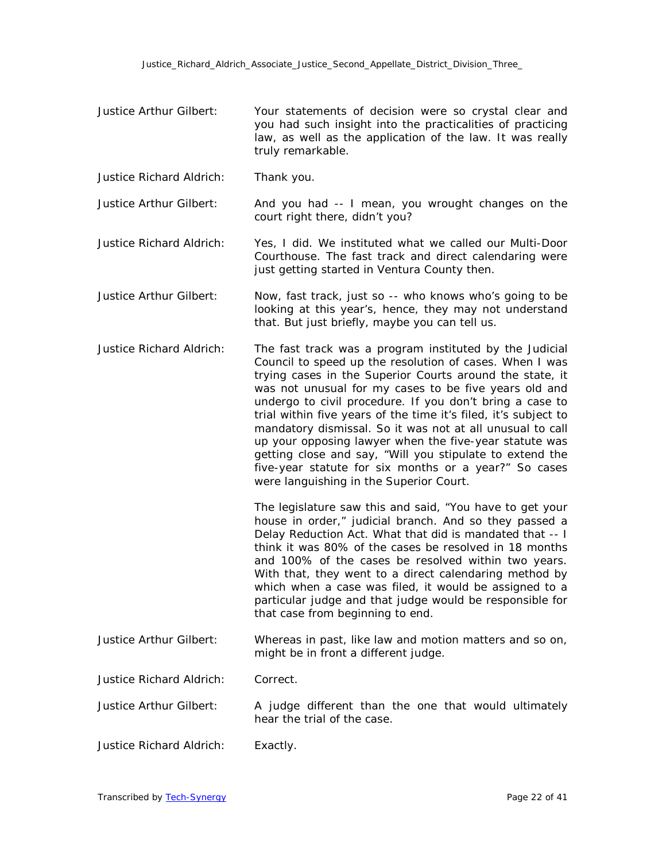- Justice Arthur Gilbert: Your statements of decision were so crystal clear and you had such insight into the practicalities of practicing law, as well as the application of the law. It was really truly remarkable.
- Justice Richard Aldrich: Thank you.
- Justice Arthur Gilbert: And you had -- I mean, you wrought changes on the court right there, didn't you?
- Justice Richard Aldrich: Yes, I did. We instituted what we called our Multi-Door Courthouse. The fast track and direct calendaring were just getting started in Ventura County then.
- Justice Arthur Gilbert: Now, fast track, just so -- who knows who's going to be looking at this year's, hence, they may not understand that. But just briefly, maybe you can tell us.
- Justice Richard Aldrich: The fast track was a program instituted by the Judicial Council to speed up the resolution of cases. When I was trying cases in the Superior Courts around the state, it was not unusual for my cases to be five years old and undergo to civil procedure. If you don't bring a case to trial within five years of the time it's filed, it's subject to mandatory dismissal. So it was not at all unusual to call up your opposing lawyer when the five-year statute was getting close and say, "Will you stipulate to extend the five-year statute for six months or a year?" So cases were languishing in the Superior Court.

The legislature saw this and said, "You have to get your house in order," judicial branch. And so they passed a Delay Reduction Act. What that did is mandated that -- I think it was 80% of the cases be resolved in 18 months and 100% of the cases be resolved within two years. With that, they went to a direct calendaring method by which when a case was filed, it would be assigned to a particular judge and that judge would be responsible for that case from beginning to end.

- Justice Arthur Gilbert: Whereas in past, like law and motion matters and so on, might be in front a different judge.
- Justice Richard Aldrich: Correct.
- Justice Arthur Gilbert: A judge different than the one that would ultimately hear the trial of the case.
- Justice Richard Aldrich: Exactly.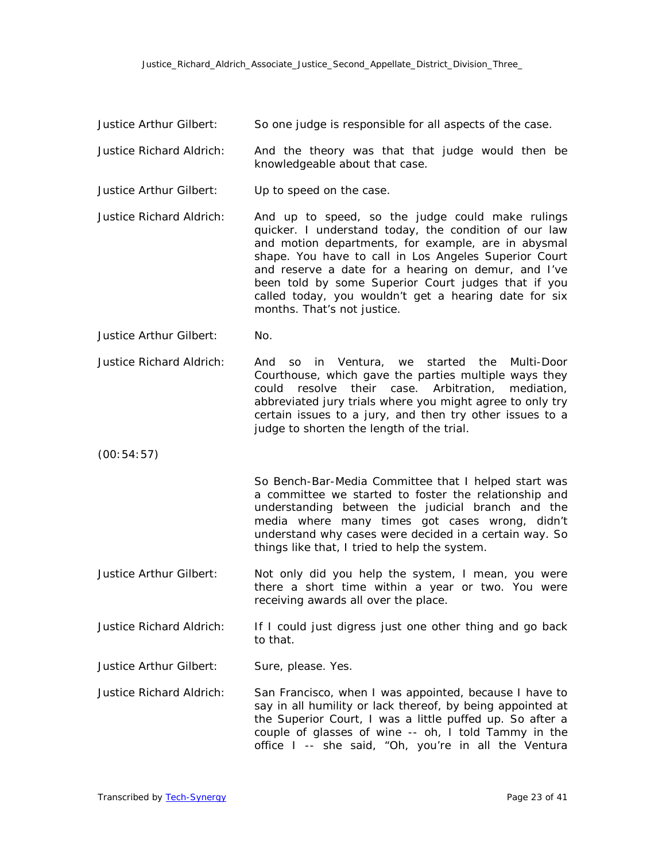Justice Arthur Gilbert: So one judge is responsible for all aspects of the case.

- Justice Richard Aldrich: And the theory was that that judge would then be knowledgeable about that case.
- Justice Arthur Gilbert: Up to speed on the case.
- Justice Richard Aldrich: And up to speed, so the judge could make rulings quicker. I understand today, the condition of our law and motion departments, for example, are in abysmal shape. You have to call in Los Angeles Superior Court and reserve a date for a hearing on demur, and I've been told by some Superior Court judges that if you called today, you wouldn't get a hearing date for six months. That's not justice.
- Justice Arthur Gilbert: No.

Justice Richard Aldrich: And so in Ventura, we started the Multi-Door Courthouse, which gave the parties multiple ways they could resolve their case. Arbitration, mediation, abbreviated jury trials where you might agree to only try certain issues to a jury, and then try other issues to a judge to shorten the length of the trial.

(00:54:57)

So Bench-Bar-Media Committee that I helped start was a committee we started to foster the relationship and understanding between the judicial branch and the media where many times got cases wrong, didn't understand why cases were decided in a certain way. So things like that, I tried to help the system.

Justice Arthur Gilbert: Not only did you help the system, I mean, you were there a short time within a year or two. You were receiving awards all over the place.

Justice Richard Aldrich: If I could just digress just one other thing and go back to that.

Justice Arthur Gilbert: Sure, please. Yes.

Justice Richard Aldrich: San Francisco, when I was appointed, because I have to say in all humility or lack thereof, by being appointed at the Superior Court, I was a little puffed up. So after a couple of glasses of wine -- oh, I told Tammy in the office I -- she said, "Oh, you're in all the Ventura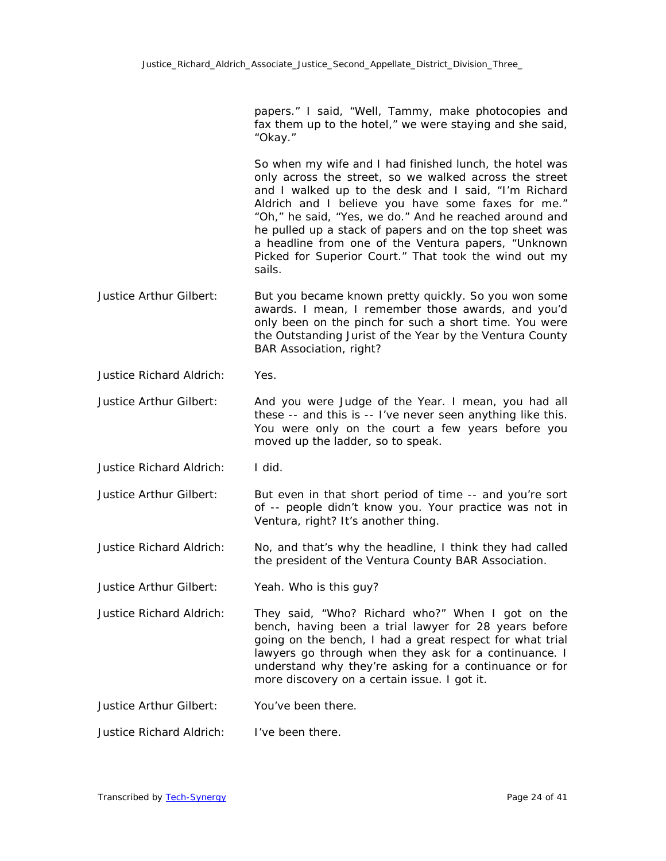papers." I said, "Well, Tammy, make photocopies and fax them up to the hotel," we were staying and she said, "Okay."

So when my wife and I had finished lunch, the hotel was only across the street, so we walked across the street and I walked up to the desk and I said, "I'm Richard Aldrich and I believe you have some faxes for me." "Oh," he said, "Yes, we do." And he reached around and he pulled up a stack of papers and on the top sheet was a headline from one of the Ventura papers, "Unknown Picked for Superior Court." That took the wind out my sails.

- Justice Arthur Gilbert: But you became known pretty quickly. So you won some awards. I mean, I remember those awards, and you'd only been on the pinch for such a short time. You were the Outstanding Jurist of the Year by the Ventura County BAR Association, right?
- Justice Richard Aldrich: Yes.

Justice Arthur Gilbert: And you were Judge of the Year. I mean, you had all these -- and this is -- I've never seen anything like this. You were only on the court a few years before you moved up the ladder, so to speak.

Justice Richard Aldrich: I did.

Justice Arthur Gilbert: But even in that short period of time -- and you're sort of -- people didn't know you. Your practice was not in Ventura, right? It's another thing.

Justice Richard Aldrich: No, and that's why the headline, I think they had called the president of the Ventura County BAR Association.

Justice Arthur Gilbert: Yeah. Who is this guy?

Justice Richard Aldrich: They said, "Who? Richard who?" When I got on the bench, having been a trial lawyer for 28 years before going on the bench, I had a great respect for what trial lawyers go through when they ask for a continuance. I understand why they're asking for a continuance or for more discovery on a certain issue. I got it.

Justice Arthur Gilbert: You've been there.

Justice Richard Aldrich: I've been there.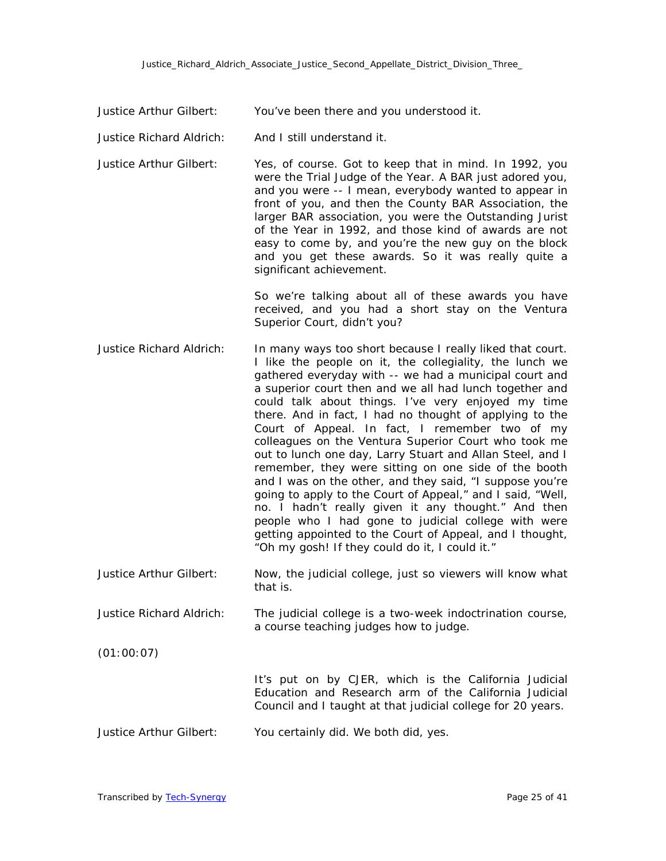Justice Arthur Gilbert: You've been there and you understood it.

- Justice Richard Aldrich: And I still understand it.
- Justice Arthur Gilbert: Yes, of course. Got to keep that in mind. In 1992, you were the Trial Judge of the Year. A BAR just adored you, and you were -- I mean, everybody wanted to appear in front of you, and then the County BAR Association, the larger BAR association, you were the Outstanding Jurist of the Year in 1992, and those kind of awards are not easy to come by, and you're the new guy on the block and you get these awards. So it was really quite a significant achievement.

So we're talking about all of these awards you have received, and you had a short stay on the Ventura Superior Court, didn't you?

- Justice Richard Aldrich: In many ways too short because I really liked that court. I like the people on it, the collegiality, the lunch we gathered everyday with -- we had a municipal court and a superior court then and we all had lunch together and could talk about things. I've very enjoyed my time there. And in fact, I had no thought of applying to the Court of Appeal. In fact, I remember two of my colleagues on the Ventura Superior Court who took me out to lunch one day, Larry Stuart and Allan Steel, and I remember, they were sitting on one side of the booth and I was on the other, and they said, "I suppose you're going to apply to the Court of Appeal," and I said, "Well, no. I hadn't really given it any thought." And then people who I had gone to judicial college with were getting appointed to the Court of Appeal, and I thought, "Oh my gosh! If they could do it, I could it."
- Justice Arthur Gilbert: Now, the judicial college, just so viewers will know what that is.
- Justice Richard Aldrich: The judicial college is a two-week indoctrination course, a course teaching judges how to judge.
- (01:00:07)

It's put on by CJER, which is the California Judicial Education and Research arm of the California Judicial Council and I taught at that judicial college for 20 years.

Justice Arthur Gilbert: You certainly did. We both did, yes.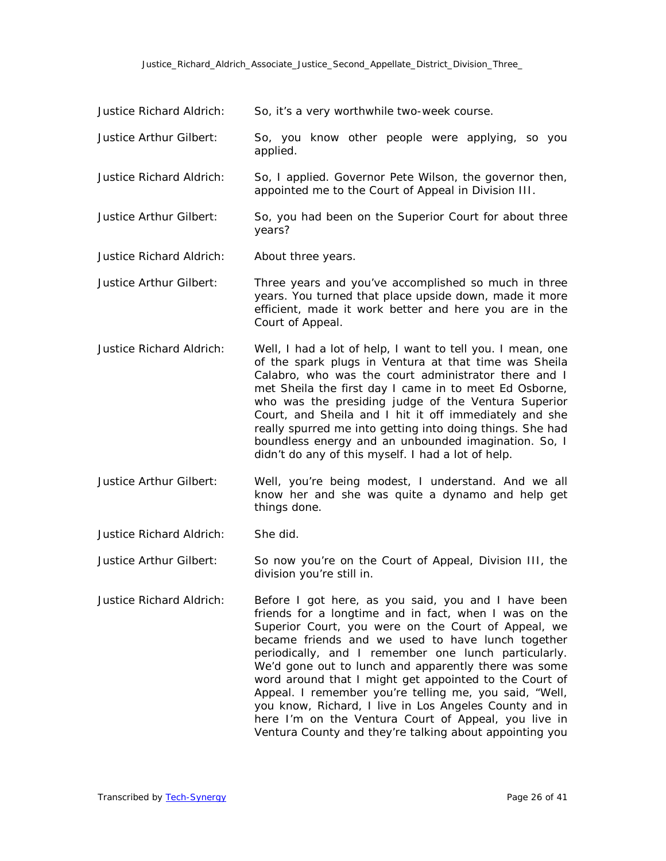| Justice Richard Aldrich:        | So, it's a very worthwhile two-week course.                                                                                                                                                                                                                                                                                                                                                                                                                                                                                                                                    |
|---------------------------------|--------------------------------------------------------------------------------------------------------------------------------------------------------------------------------------------------------------------------------------------------------------------------------------------------------------------------------------------------------------------------------------------------------------------------------------------------------------------------------------------------------------------------------------------------------------------------------|
| Justice Arthur Gilbert:         | So, you know other people were applying, so you<br>applied.                                                                                                                                                                                                                                                                                                                                                                                                                                                                                                                    |
| <b>Justice Richard Aldrich:</b> | So, I applied. Governor Pete Wilson, the governor then,<br>appointed me to the Court of Appeal in Division III.                                                                                                                                                                                                                                                                                                                                                                                                                                                                |
| Justice Arthur Gilbert:         | So, you had been on the Superior Court for about three<br>years?                                                                                                                                                                                                                                                                                                                                                                                                                                                                                                               |
| <b>Justice Richard Aldrich:</b> | About three years.                                                                                                                                                                                                                                                                                                                                                                                                                                                                                                                                                             |
| Justice Arthur Gilbert:         | Three years and you've accomplished so much in three<br>years. You turned that place upside down, made it more<br>efficient, made it work better and here you are in the<br>Court of Appeal.                                                                                                                                                                                                                                                                                                                                                                                   |
| <b>Justice Richard Aldrich:</b> | Well, I had a lot of help, I want to tell you. I mean, one<br>of the spark plugs in Ventura at that time was Sheila<br>Calabro, who was the court administrator there and I<br>met Sheila the first day I came in to meet Ed Osborne,<br>who was the presiding judge of the Ventura Superior<br>Court, and Sheila and I hit it off immediately and she<br>really spurred me into getting into doing things. She had<br>boundless energy and an unbounded imagination. So, I<br>didn't do any of this myself. I had a lot of help.                                              |
| Justice Arthur Gilbert:         | Well, you're being modest, I understand. And we all<br>know her and she was quite a dynamo and help get<br>things done.                                                                                                                                                                                                                                                                                                                                                                                                                                                        |
| <b>Justice Richard Aldrich:</b> | She did.                                                                                                                                                                                                                                                                                                                                                                                                                                                                                                                                                                       |
| Justice Arthur Gilbert:         | So now you're on the Court of Appeal, Division III, the<br>division you're still in.                                                                                                                                                                                                                                                                                                                                                                                                                                                                                           |
| <b>Justice Richard Aldrich:</b> | Before I got here, as you said, you and I have been<br>friends for a longtime and in fact, when I was on the<br>Superior Court, you were on the Court of Appeal, we<br>became friends and we used to have lunch together<br>periodically, and I remember one lunch particularly.<br>We'd gone out to lunch and apparently there was some<br>word around that I might get appointed to the Court of<br>Appeal. I remember you're telling me, you said, "Well,<br>you know, Richard, I live in Los Angeles County and in<br>here I'm on the Ventura Court of Appeal, you live in |

Ventura County and they're talking about appointing you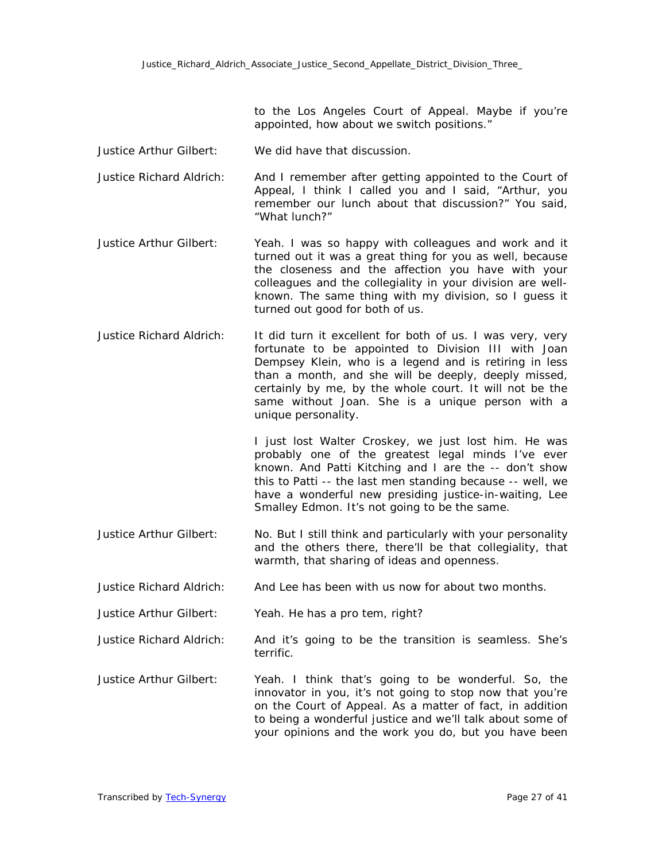to the Los Angeles Court of Appeal. Maybe if you're appointed, how about we switch positions."

- Justice Arthur Gilbert: We did have that discussion.
- Justice Richard Aldrich: And I remember after getting appointed to the Court of Appeal, I think I called you and I said, "Arthur, you remember our lunch about that discussion?" You said, "What lunch?"
- Justice Arthur Gilbert: Yeah. I was so happy with colleagues and work and it turned out it was a great thing for you as well, because the closeness and the affection you have with your colleagues and the collegiality in your division are wellknown. The same thing with my division, so I guess it turned out good for both of us.
- Justice Richard Aldrich: It did turn it excellent for both of us. I was very, very fortunate to be appointed to Division III with Joan Dempsey Klein, who is a legend and is retiring in less than a month, and she will be deeply, deeply missed, certainly by me, by the whole court. It will not be the same without Joan. She is a unique person with a unique personality.

I just lost Walter Croskey, we just lost him. He was probably one of the greatest legal minds I've ever known. And Patti Kitching and I are the -- don't show this to Patti -- the last men standing because -- well, we have a wonderful new presiding justice-in-waiting, Lee Smalley Edmon. It's not going to be the same.

- Justice Arthur Gilbert: No. But I still think and particularly with your personality and the others there, there'll be that collegiality, that warmth, that sharing of ideas and openness.
- Justice Richard Aldrich: And Lee has been with us now for about two months.
- Justice Arthur Gilbert: Yeah. He has a pro tem, right?
- Justice Richard Aldrich: And it's going to be the transition is seamless. She's terrific.
- Justice Arthur Gilbert: Yeah. I think that's going to be wonderful. So, the innovator in you, it's not going to stop now that you're on the Court of Appeal. As a matter of fact, in addition to being a wonderful justice and we'll talk about some of your opinions and the work you do, but you have been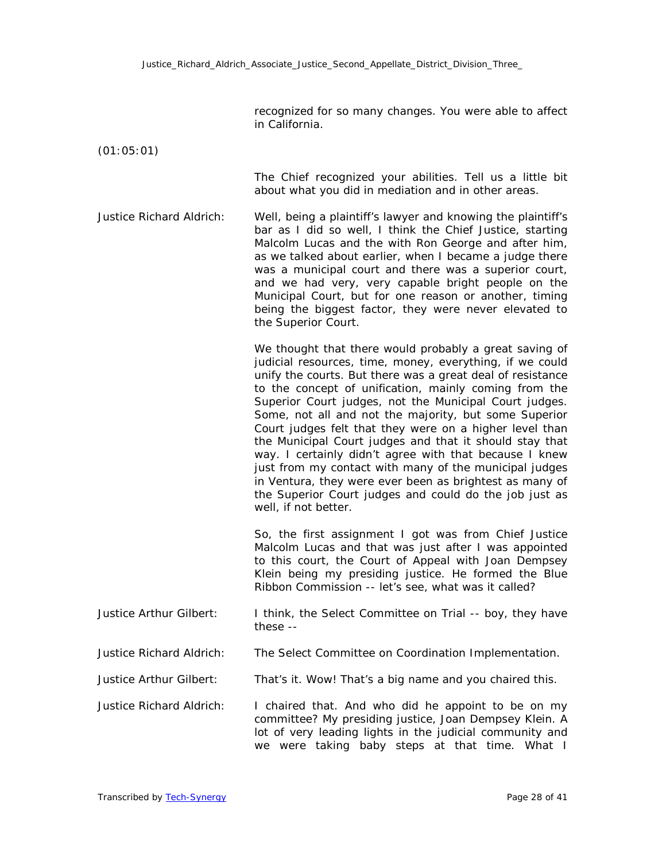recognized for so many changes. You were able to affect in California.

(01:05:01)

The Chief recognized your abilities. Tell us a little bit about what you did in mediation and in other areas.

Justice Richard Aldrich: Well, being a plaintiff's lawyer and knowing the plaintiff's bar as I did so well, I think the Chief Justice, starting Malcolm Lucas and the with Ron George and after him, as we talked about earlier, when I became a judge there was a municipal court and there was a superior court, and we had very, very capable bright people on the Municipal Court, but for one reason or another, timing being the biggest factor, they were never elevated to the Superior Court.

> We thought that there would probably a great saving of judicial resources, time, money, everything, if we could unify the courts. But there was a great deal of resistance to the concept of unification, mainly coming from the Superior Court judges, not the Municipal Court judges. Some, not all and not the majority, but some Superior Court judges felt that they were on a higher level than the Municipal Court judges and that it should stay that way. I certainly didn't agree with that because I knew just from my contact with many of the municipal judges in Ventura, they were ever been as brightest as many of the Superior Court judges and could do the job just as well, if not better.

> So, the first assignment I got was from Chief Justice Malcolm Lucas and that was just after I was appointed to this court, the Court of Appeal with Joan Dempsey Klein being my presiding justice. He formed the Blue Ribbon Commission -- let's see, what was it called?

| Justice Arthur Gilbert: | I think, the Select Committee on Trial -- boy, they have |
|-------------------------|----------------------------------------------------------|
|                         | these --                                                 |

Justice Richard Aldrich: The Select Committee on Coordination Implementation.

Justice Arthur Gilbert: That's it. Wow! That's a big name and you chaired this.

Justice Richard Aldrich: I chaired that. And who did he appoint to be on my committee? My presiding justice, Joan Dempsey Klein. A lot of very leading lights in the judicial community and we were taking baby steps at that time. What I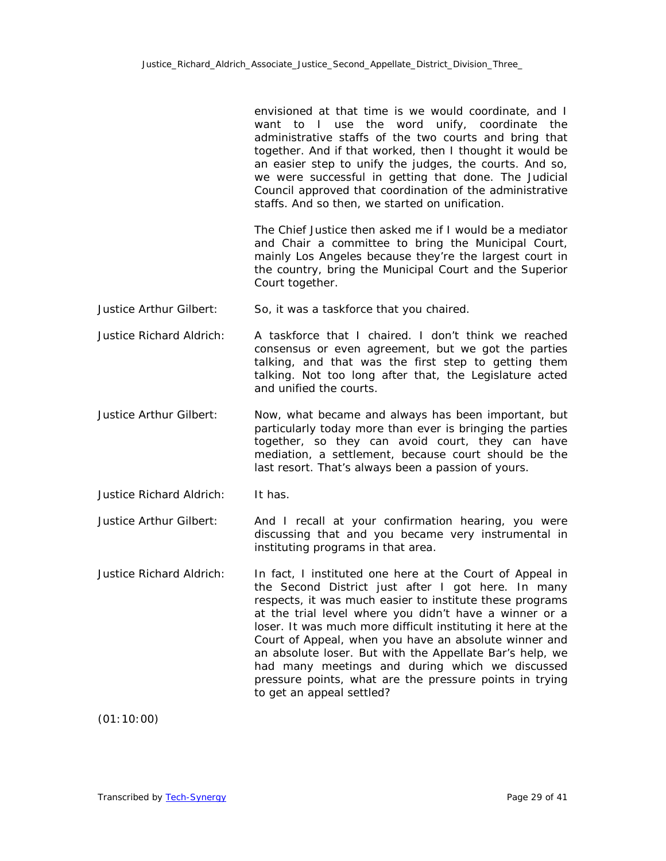envisioned at that time is we would coordinate, and I want to I use the word unify, coordinate the administrative staffs of the two courts and bring that together. And if that worked, then I thought it would be an easier step to unify the judges, the courts. And so, we were successful in getting that done. The Judicial Council approved that coordination of the administrative staffs. And so then, we started on unification.

The Chief Justice then asked me if I would be a mediator and Chair a committee to bring the Municipal Court, mainly Los Angeles because they're the largest court in the country, bring the Municipal Court and the Superior Court together.

- Justice Arthur Gilbert: So, it was a taskforce that you chaired.
- Justice Richard Aldrich: A taskforce that I chaired. I don't think we reached consensus or even agreement, but we got the parties talking, and that was the first step to getting them talking. Not too long after that, the Legislature acted and unified the courts.
- Justice Arthur Gilbert: Now, what became and always has been important, but particularly today more than ever is bringing the parties together, so they can avoid court, they can have mediation, a settlement, because court should be the last resort. That's always been a passion of yours.
- Justice Richard Aldrich: It has.

Justice Arthur Gilbert: And I recall at your confirmation hearing, you were discussing that and you became very instrumental in instituting programs in that area.

Justice Richard Aldrich: In fact, I instituted one here at the Court of Appeal in the Second District just after I got here. In many respects, it was much easier to institute these programs at the trial level where you didn't have a winner or a loser. It was much more difficult instituting it here at the Court of Appeal, when you have an absolute winner and an absolute loser. But with the Appellate Bar's help, we had many meetings and during which we discussed pressure points, what are the pressure points in trying to get an appeal settled?

(01:10:00)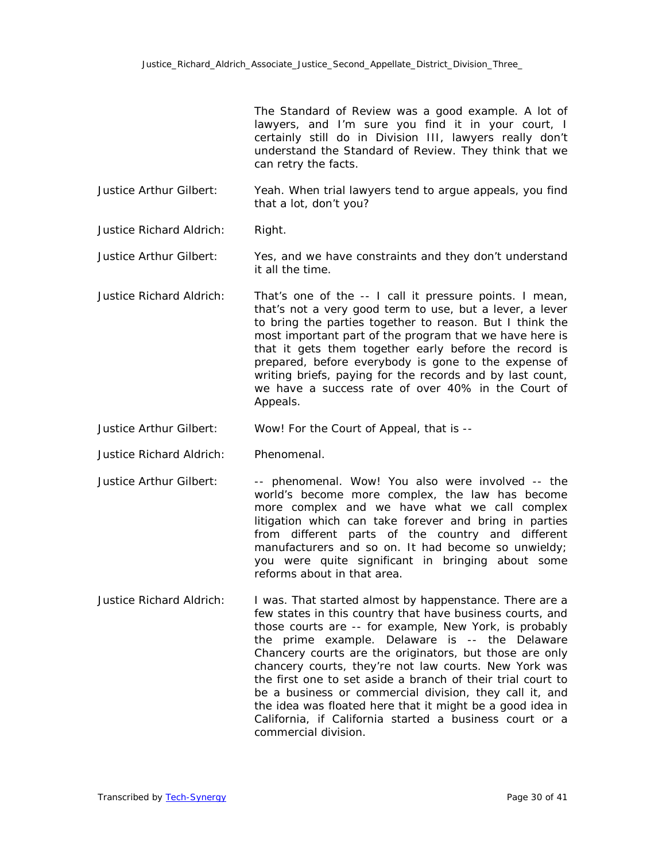The Standard of Review was a good example. A lot of lawyers, and I'm sure you find it in your court, I certainly still do in Division III, lawyers really don't understand the Standard of Review. They think that we can retry the facts.

Justice Arthur Gilbert: Yeah. When trial lawyers tend to argue appeals, you find that a lot, don't you?

Justice Richard Aldrich: Right.

Justice Arthur Gilbert: Yes, and we have constraints and they don't understand it all the time.

Justice Richard Aldrich: That's one of the -- I call it pressure points. I mean, that's not a very good term to use, but a lever, a lever to bring the parties together to reason. But I think the most important part of the program that we have here is that it gets them together early before the record is prepared, before everybody is gone to the expense of writing briefs, paying for the records and by last count, we have a success rate of over 40% in the Court of Appeals.

Justice Arthur Gilbert: Wow! For the Court of Appeal, that is --

Justice Richard Aldrich: Phenomenal.

Justice Arthur Gilbert: -- phenomenal. Wow! You also were involved -- the world's become more complex, the law has become more complex and we have what we call complex litigation which can take forever and bring in parties from different parts of the country and different manufacturers and so on. It had become so unwieldy; you were quite significant in bringing about some reforms about in that area.

Justice Richard Aldrich: I was. That started almost by happenstance. There are a few states in this country that have business courts, and those courts are -- for example, New York, is probably the prime example. Delaware is -- the Delaware Chancery courts are the originators, but those are only chancery courts, they're not law courts. New York was the first one to set aside a branch of their trial court to be a business or commercial division, they call it, and the idea was floated here that it might be a good idea in California, if California started a business court or a commercial division.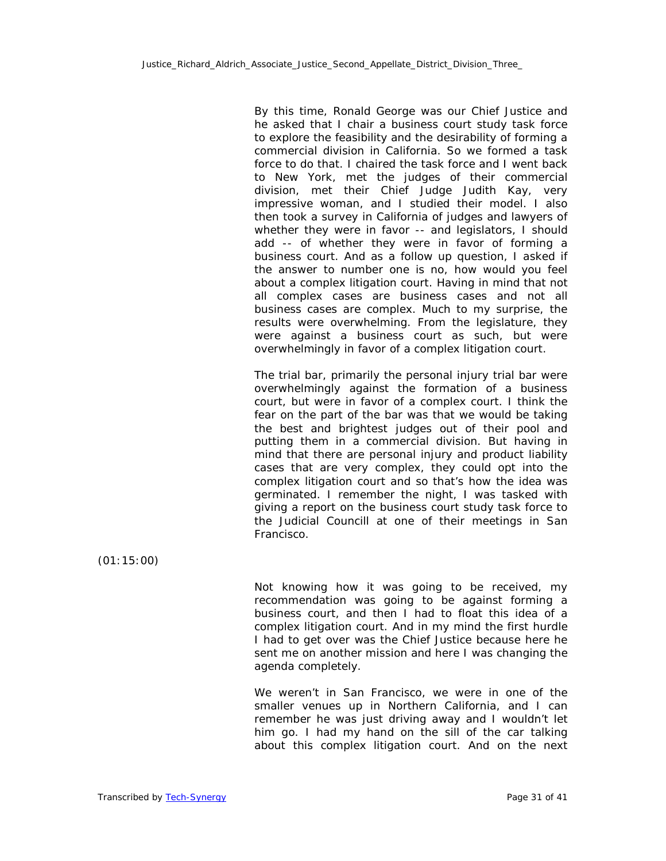By this time, Ronald George was our Chief Justice and he asked that I chair a business court study task force to explore the feasibility and the desirability of forming a commercial division in California. So we formed a task force to do that. I chaired the task force and I went back to New York, met the judges of their commercial division, met their Chief Judge Judith Kay, very impressive woman, and I studied their model. I also then took a survey in California of judges and lawyers of whether they were in favor -- and legislators, I should add -- of whether they were in favor of forming a business court. And as a follow up question, I asked if the answer to number one is no, how would you feel about a complex litigation court. Having in mind that not all complex cases are business cases and not all business cases are complex. Much to my surprise, the results were overwhelming. From the legislature, they were against a business court as such, but were overwhelmingly in favor of a complex litigation court.

The trial bar, primarily the personal injury trial bar were overwhelmingly against the formation of a business court, but were in favor of a complex court. I think the fear on the part of the bar was that we would be taking the best and brightest judges out of their pool and putting them in a commercial division. But having in mind that there are personal injury and product liability cases that are very complex, they could opt into the complex litigation court and so that's how the idea was germinated. I remember the night, I was tasked with giving a report on the business court study task force to the Judicial Councill at one of their meetings in San Francisco.

(01:15:00)

Not knowing how it was going to be received, my recommendation was going to be against forming a business court, and then I had to float this idea of a complex litigation court. And in my mind the first hurdle I had to get over was the Chief Justice because here he sent me on another mission and here I was changing the agenda completely.

We weren't in San Francisco, we were in one of the smaller venues up in Northern California, and I can remember he was just driving away and I wouldn't let him go. I had my hand on the sill of the car talking about this complex litigation court. And on the next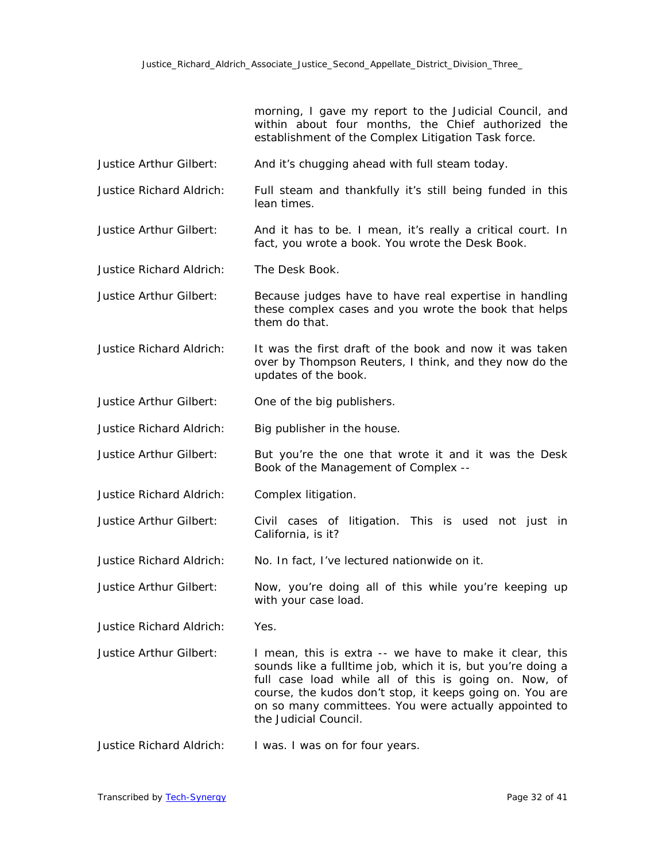morning, I gave my report to the Judicial Council, and within about four months, the Chief authorized the establishment of the Complex Litigation Task force.

- Justice Arthur Gilbert: And it's chugging ahead with full steam today.
- Justice Richard Aldrich: Full steam and thankfully it's still being funded in this lean times.
- Justice Arthur Gilbert: And it has to be. I mean, it's really a critical court. In fact, you wrote a book. You wrote the Desk Book.

Justice Richard Aldrich: The Desk Book.

- Justice Arthur Gilbert: Because judges have to have real expertise in handling these complex cases and you wrote the book that helps them do that.
- Justice Richard Aldrich: It was the first draft of the book and now it was taken over by Thompson Reuters, I think, and they now do the updates of the book.

Justice Arthur Gilbert: One of the big publishers.

- Justice Richard Aldrich: Big publisher in the house.
- Justice Arthur Gilbert: But you're the one that wrote it and it was the Desk Book of the Management of Complex --
- Justice Richard Aldrich: Complex litigation.
- Justice Arthur Gilbert: Civil cases of litigation. This is used not just in California, is it?
- Justice Richard Aldrich: No. In fact, I've lectured nationwide on it.
- Justice Arthur Gilbert: Now, you're doing all of this while you're keeping up with your case load.

Justice Richard Aldrich: Yes.

Justice Arthur Gilbert: I mean, this is extra -- we have to make it clear, this sounds like a fulltime job, which it is, but you're doing a full case load while all of this is going on. Now, of course, the kudos don't stop, it keeps going on. You are on so many committees. You were actually appointed to the Judicial Council.

Justice Richard Aldrich: I was. I was on for four years.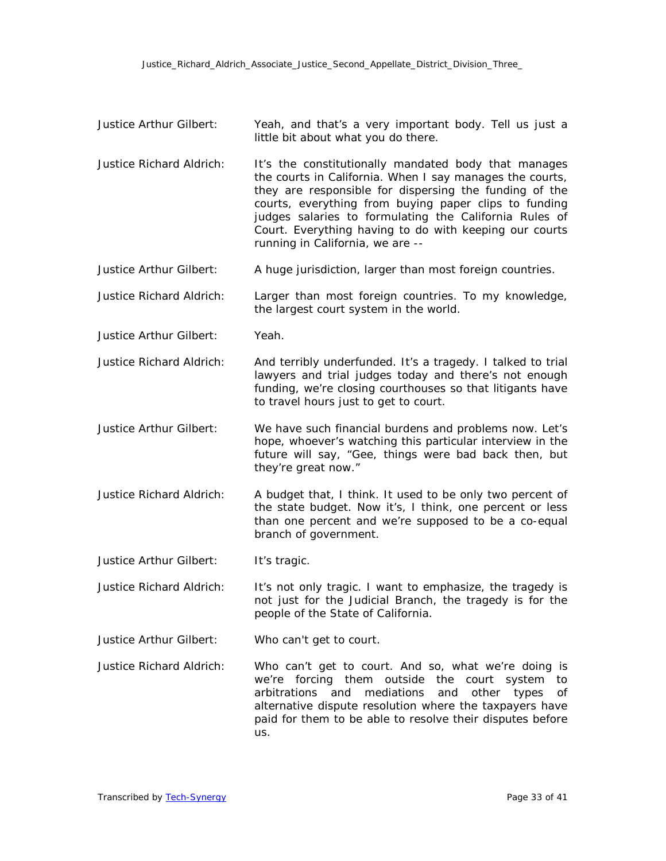- Justice Arthur Gilbert: Yeah, and that's a very important body. Tell us just a little bit about what you do there.
- Justice Richard Aldrich: It's the constitutionally mandated body that manages the courts in California. When I say manages the courts, they are responsible for dispersing the funding of the courts, everything from buying paper clips to funding judges salaries to formulating the California Rules of Court. Everything having to do with keeping our courts running in California, we are --
- Justice Arthur Gilbert: A huge jurisdiction, larger than most foreign countries.
- Justice Richard Aldrich: Larger than most foreign countries. To my knowledge, the largest court system in the world.
- Justice Arthur Gilbert: Yeah.

Justice Richard Aldrich: And terribly underfunded. It's a tragedy. I talked to trial lawyers and trial judges today and there's not enough funding, we're closing courthouses so that litigants have to travel hours just to get to court.

- Justice Arthur Gilbert: We have such financial burdens and problems now. Let's hope, whoever's watching this particular interview in the future will say, "Gee, things were bad back then, but they're great now."
- Justice Richard Aldrich: A budget that, I think. It used to be only two percent of the state budget. Now it's, I think, one percent or less than one percent and we're supposed to be a co-equal branch of government.

Justice Arthur Gilbert: It's tragic.

Justice Richard Aldrich: It's not only tragic. I want to emphasize, the tragedy is not just for the Judicial Branch, the tragedy is for the people of the State of California.

Justice Arthur Gilbert: Who can't get to court.

Justice Richard Aldrich: Who can't get to court. And so, what we're doing is we're forcing them outside the court system to arbitrations and mediations and other types of alternative dispute resolution where the taxpayers have paid for them to be able to resolve their disputes before us.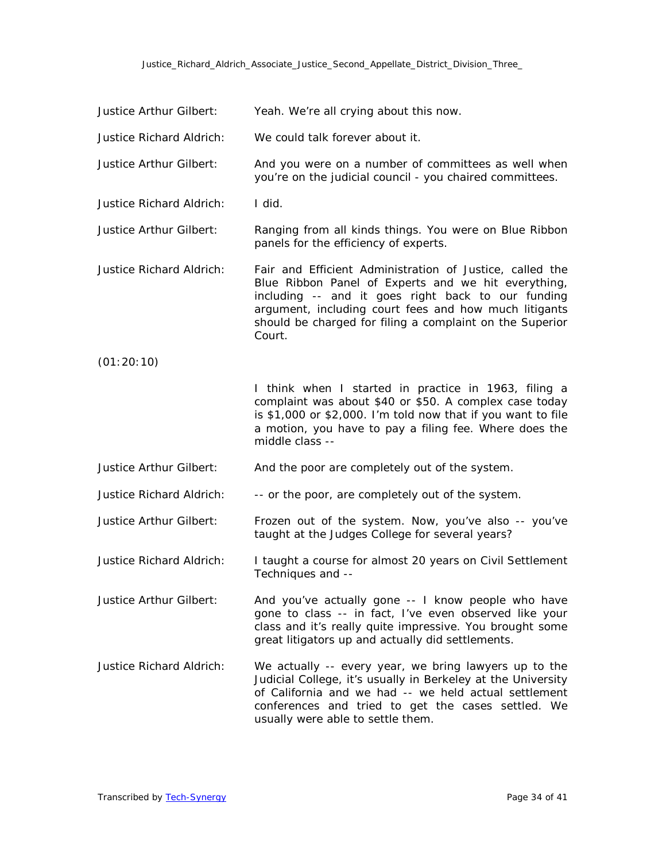## Justice\_Richard\_Aldrich\_Associate\_Justice\_Second\_Appellate\_District\_Division\_Three\_

| Justice Arthur Gilbert:         | Yeah. We're all crying about this now.                                                                                                                                                                                                                                                               |
|---------------------------------|------------------------------------------------------------------------------------------------------------------------------------------------------------------------------------------------------------------------------------------------------------------------------------------------------|
| <b>Justice Richard Aldrich:</b> | We could talk forever about it.                                                                                                                                                                                                                                                                      |
| Justice Arthur Gilbert:         | And you were on a number of committees as well when<br>you're on the judicial council - you chaired committees.                                                                                                                                                                                      |
| <b>Justice Richard Aldrich:</b> | I did.                                                                                                                                                                                                                                                                                               |
| <b>Justice Arthur Gilbert:</b>  | Ranging from all kinds things. You were on Blue Ribbon<br>panels for the efficiency of experts.                                                                                                                                                                                                      |
| <b>Justice Richard Aldrich:</b> | Fair and Efficient Administration of Justice, called the<br>Blue Ribbon Panel of Experts and we hit everything,<br>including -- and it goes right back to our funding<br>argument, including court fees and how much litigants<br>should be charged for filing a complaint on the Superior<br>Court. |
| (01:20:10)                      |                                                                                                                                                                                                                                                                                                      |
|                                 | I think when I started in practice in 1963, filing a<br>complaint was about \$40 or \$50. A complex case today<br>is \$1,000 or \$2,000. I'm told now that if you want to file<br>a motion, you have to pay a filing fee. Where does the<br>middle class --                                          |
| Justice Arthur Gilbert:         | And the poor are completely out of the system.                                                                                                                                                                                                                                                       |
| <b>Justice Richard Aldrich:</b> | -- or the poor, are completely out of the system.                                                                                                                                                                                                                                                    |
| Justice Arthur Gilbert:         | Frozen out of the system. Now, you've also -- you've<br>taught at the Judges College for several years?                                                                                                                                                                                              |
| <b>Justice Richard Aldrich:</b> | I taught a course for almost 20 years on Civil Settlement<br>Techniques and --                                                                                                                                                                                                                       |
| Justice Arthur Gilbert:         | And you've actually gone -- I know people who have<br>gone to class -- in fact, I've even observed like your<br>class and it's really quite impressive. You brought some<br>great litigators up and actually did settlements.                                                                        |
| <b>Justice Richard Aldrich:</b> | We actually -- every year, we bring lawyers up to the<br>Judicial College, it's usually in Berkeley at the University<br>of California and we had -- we held actual settlement<br>conferences and tried to get the cases settled. We<br>usually were able to settle them.                            |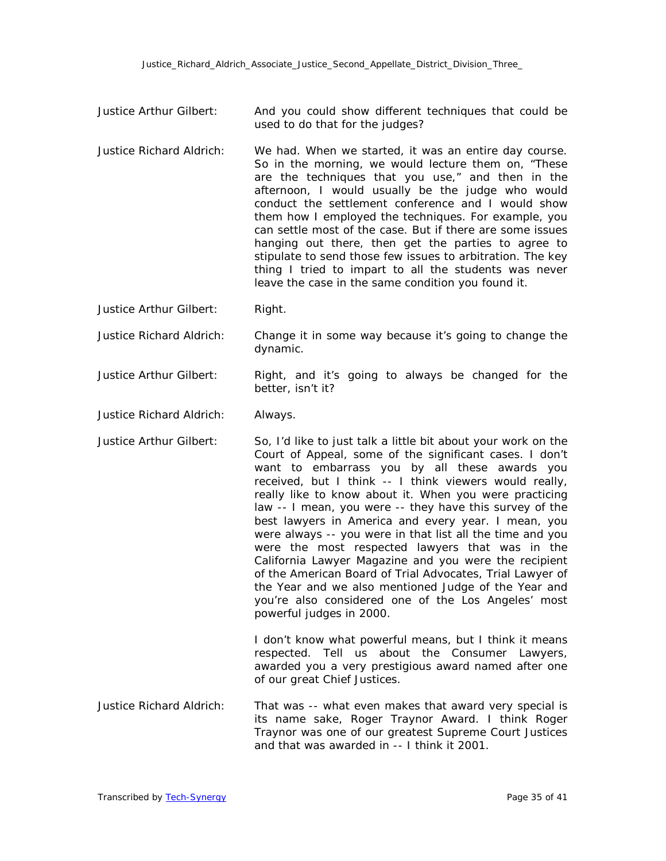- Justice Arthur Gilbert: And you could show different techniques that could be used to do that for the judges?
- Justice Richard Aldrich: We had. When we started, it was an entire day course. So in the morning, we would lecture them on, "These are the techniques that you use," and then in the afternoon, I would usually be the judge who would conduct the settlement conference and I would show them how I employed the techniques. For example, you can settle most of the case. But if there are some issues hanging out there, then get the parties to agree to stipulate to send those few issues to arbitration. The key thing I tried to impart to all the students was never leave the case in the same condition you found it.

Justice Arthur Gilbert: Right.

Justice Richard Aldrich: Change it in some way because it's going to change the dynamic.

Justice Arthur Gilbert: Right, and it's going to always be changed for the better, isn't it?

Justice Richard Aldrich: Always.

Justice Arthur Gilbert: So, I'd like to just talk a little bit about your work on the Court of Appeal, some of the significant cases. I don't want to embarrass you by all these awards you received, but I think -- I think viewers would really, really like to know about it. When you were practicing law -- I mean, you were -- they have this survey of the best lawyers in America and every year. I mean, you were always -- you were in that list all the time and you were the most respected lawyers that was in the California Lawyer Magazine and you were the recipient of the American Board of Trial Advocates, Trial Lawyer of the Year and we also mentioned Judge of the Year and you're also considered one of the Los Angeles' most powerful judges in 2000.

> I don't know what powerful means, but I think it means respected. Tell us about the Consumer Lawyers, awarded you a very prestigious award named after one of our great Chief Justices.

Justice Richard Aldrich: That was -- what even makes that award very special is its name sake, Roger Traynor Award. I think Roger Traynor was one of our greatest Supreme Court Justices and that was awarded in -- I think it 2001.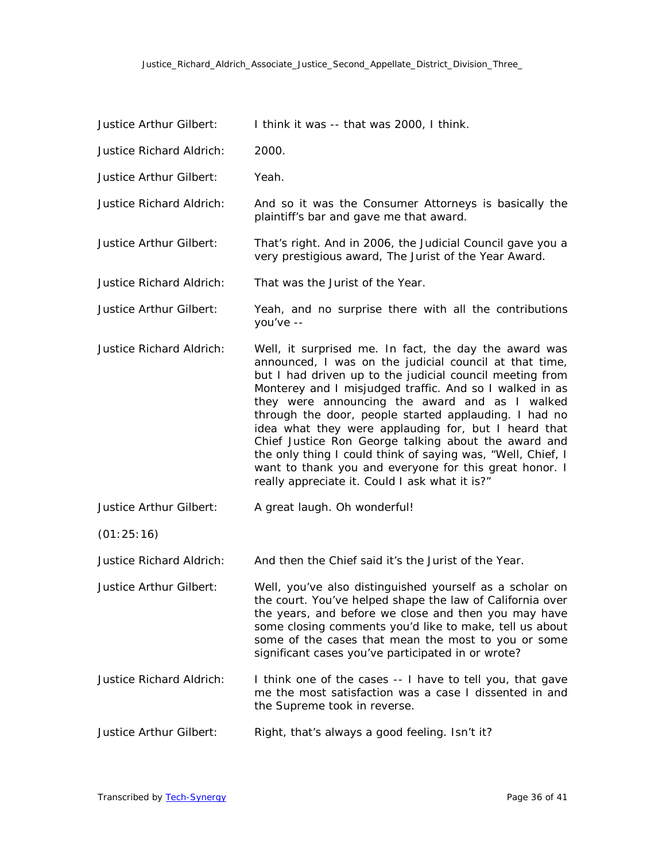| Justice Arthur Gilbert:         | I think it was -- that was 2000, I think.                                                                                                                                                                                                                                                                                                                                                                                                                                                                                                                                                                                                    |
|---------------------------------|----------------------------------------------------------------------------------------------------------------------------------------------------------------------------------------------------------------------------------------------------------------------------------------------------------------------------------------------------------------------------------------------------------------------------------------------------------------------------------------------------------------------------------------------------------------------------------------------------------------------------------------------|
| <b>Justice Richard Aldrich:</b> | 2000.                                                                                                                                                                                                                                                                                                                                                                                                                                                                                                                                                                                                                                        |
| Justice Arthur Gilbert:         | Yeah.                                                                                                                                                                                                                                                                                                                                                                                                                                                                                                                                                                                                                                        |
| <b>Justice Richard Aldrich:</b> | And so it was the Consumer Attorneys is basically the<br>plaintiff's bar and gave me that award.                                                                                                                                                                                                                                                                                                                                                                                                                                                                                                                                             |
| Justice Arthur Gilbert:         | That's right. And in 2006, the Judicial Council gave you a<br>very prestigious award, The Jurist of the Year Award.                                                                                                                                                                                                                                                                                                                                                                                                                                                                                                                          |
| <b>Justice Richard Aldrich:</b> | That was the Jurist of the Year.                                                                                                                                                                                                                                                                                                                                                                                                                                                                                                                                                                                                             |
| Justice Arthur Gilbert:         | Yeah, and no surprise there with all the contributions<br>you've --                                                                                                                                                                                                                                                                                                                                                                                                                                                                                                                                                                          |
| <b>Justice Richard Aldrich:</b> | Well, it surprised me. In fact, the day the award was<br>announced, I was on the judicial council at that time,<br>but I had driven up to the judicial council meeting from<br>Monterey and I misjudged traffic. And so I walked in as<br>they were announcing the award and as I walked<br>through the door, people started applauding. I had no<br>idea what they were applauding for, but I heard that<br>Chief Justice Ron George talking about the award and<br>the only thing I could think of saying was, "Well, Chief, I<br>want to thank you and everyone for this great honor. I<br>really appreciate it. Could I ask what it is?" |
| Justice Arthur Gilbert:         | A great laugh. Oh wonderful!                                                                                                                                                                                                                                                                                                                                                                                                                                                                                                                                                                                                                 |
| (01:25:16)                      |                                                                                                                                                                                                                                                                                                                                                                                                                                                                                                                                                                                                                                              |
| <b>Justice Richard Aldrich:</b> | And then the Chief said it's the Jurist of the Year.                                                                                                                                                                                                                                                                                                                                                                                                                                                                                                                                                                                         |
| Justice Arthur Gilbert:         | Well, you've also distinguished yourself as a scholar on<br>the court. You've helped shape the law of California over<br>the years, and before we close and then you may have<br>some closing comments you'd like to make, tell us about<br>some of the cases that mean the most to you or some<br>significant cases you've participated in or wrote?                                                                                                                                                                                                                                                                                        |
| <b>Justice Richard Aldrich:</b> | I think one of the cases -- I have to tell you, that gave<br>me the most satisfaction was a case I dissented in and<br>the Supreme took in reverse.                                                                                                                                                                                                                                                                                                                                                                                                                                                                                          |
| Justice Arthur Gilbert:         | Right, that's always a good feeling. Isn't it?                                                                                                                                                                                                                                                                                                                                                                                                                                                                                                                                                                                               |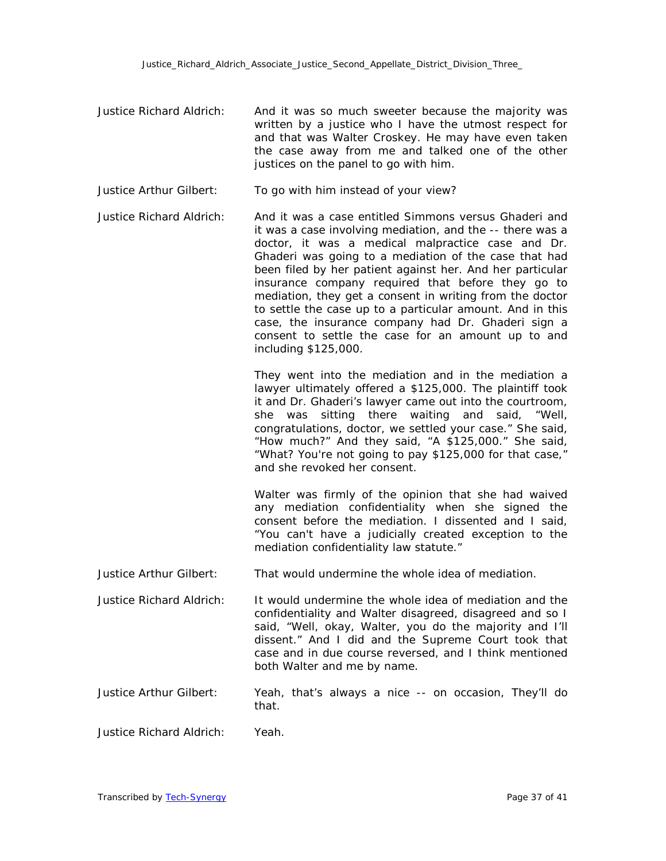- Justice Richard Aldrich: And it was so much sweeter because the majority was written by a justice who I have the utmost respect for and that was Walter Croskey. He may have even taken the case away from me and talked one of the other justices on the panel to go with him.
- Justice Arthur Gilbert: To go with him instead of your view?
- Justice Richard Aldrich: And it was a case entitled Simmons versus Ghaderi and it was a case involving mediation, and the -- there was a doctor, it was a medical malpractice case and Dr. Ghaderi was going to a mediation of the case that had been filed by her patient against her. And her particular insurance company required that before they go to mediation, they get a consent in writing from the doctor to settle the case up to a particular amount. And in this case, the insurance company had Dr. Ghaderi sign a consent to settle the case for an amount up to and including \$125,000.

They went into the mediation and in the mediation a lawyer ultimately offered a \$125,000. The plaintiff took it and Dr. Ghaderi's lawyer came out into the courtroom, she was sitting there waiting and said, "Well, congratulations, doctor, we settled your case." She said, "How much?" And they said, "A \$125,000." She said, "What? You're not going to pay \$125,000 for that case," and she revoked her consent.

Walter was firmly of the opinion that she had waived any mediation confidentiality when she signed the consent before the mediation. I dissented and I said, "You can't have a judicially created exception to the mediation confidentiality law statute."

Justice Arthur Gilbert: That would undermine the whole idea of mediation.

- Justice Richard Aldrich: It would undermine the whole idea of mediation and the confidentiality and Walter disagreed, disagreed and so I said, "Well, okay, Walter, you do the majority and I'll dissent." And I did and the Supreme Court took that case and in due course reversed, and I think mentioned both Walter and me by name.
- Justice Arthur Gilbert: Yeah, that's always a nice -- on occasion, They'll do that.
- Justice Richard Aldrich: Yeah.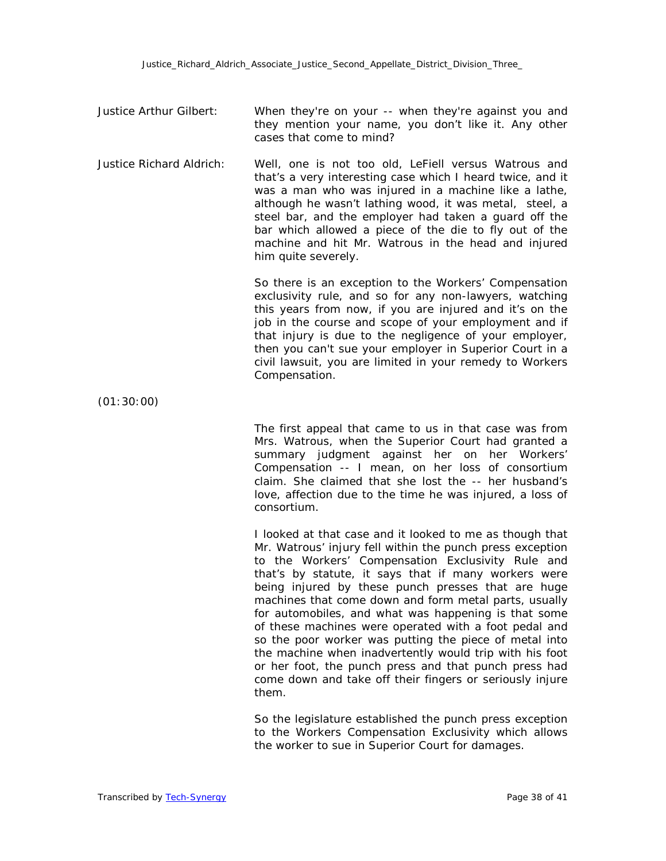- Justice Arthur Gilbert: When they're on your -- when they're against you and they mention your name, you don't like it. Any other cases that come to mind?
- Justice Richard Aldrich: Well, one is not too old, LeFiell versus Watrous and that's a very interesting case which I heard twice, and it was a man who was injured in a machine like a lathe, although he wasn't lathing wood, it was metal, steel, a steel bar, and the employer had taken a guard off the bar which allowed a piece of the die to fly out of the machine and hit Mr. Watrous in the head and injured him quite severely.

So there is an exception to the Workers' Compensation exclusivity rule, and so for any non-lawyers, watching this years from now, if you are injured and it's on the job in the course and scope of your employment and if that injury is due to the negligence of your employer, then you can't sue your employer in Superior Court in a civil lawsuit, you are limited in your remedy to Workers Compensation.

(01:30:00)

The first appeal that came to us in that case was from Mrs. Watrous, when the Superior Court had granted a summary judgment against her on her Workers' Compensation -- I mean, on her loss of consortium claim. She claimed that she lost the -- her husband's love, affection due to the time he was injured, a loss of consortium.

I looked at that case and it looked to me as though that Mr. Watrous' injury fell within the punch press exception to the Workers' Compensation Exclusivity Rule and that's by statute, it says that if many workers were being injured by these punch presses that are huge machines that come down and form metal parts, usually for automobiles, and what was happening is that some of these machines were operated with a foot pedal and so the poor worker was putting the piece of metal into the machine when inadvertently would trip with his foot or her foot, the punch press and that punch press had come down and take off their fingers or seriously injure them.

So the legislature established the punch press exception to the Workers Compensation Exclusivity which allows the worker to sue in Superior Court for damages.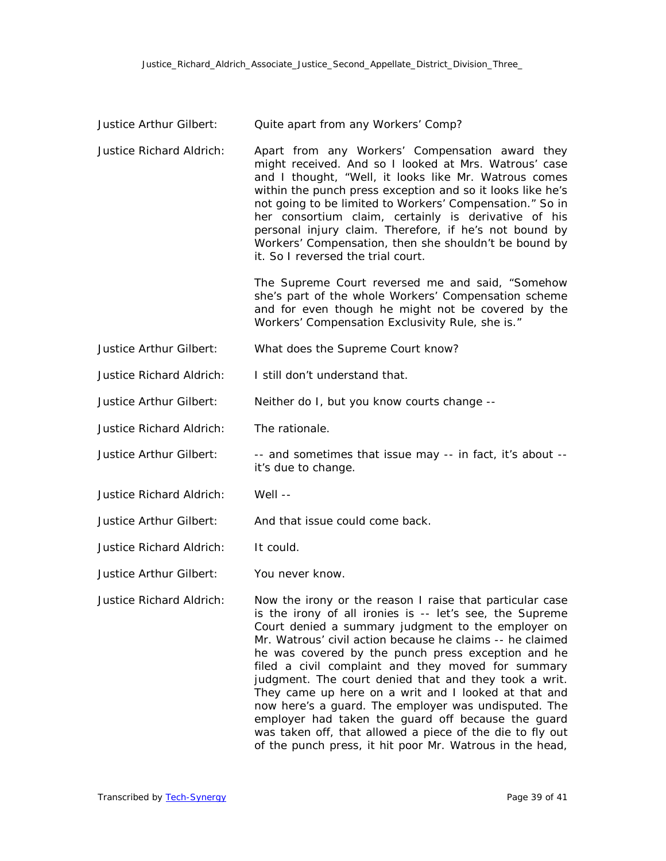| Justice Arthur Gilbert:         | Quite apart from any Workers' Comp?                                                                                                                                                                                                                                                                                                                                                                                                                                                                                                                                                                                                                                                                         |
|---------------------------------|-------------------------------------------------------------------------------------------------------------------------------------------------------------------------------------------------------------------------------------------------------------------------------------------------------------------------------------------------------------------------------------------------------------------------------------------------------------------------------------------------------------------------------------------------------------------------------------------------------------------------------------------------------------------------------------------------------------|
| <b>Justice Richard Aldrich:</b> | Apart from any Workers' Compensation award they<br>might received. And so I looked at Mrs. Watrous' case<br>and I thought, "Well, it looks like Mr. Watrous comes<br>within the punch press exception and so it looks like he's<br>not going to be limited to Workers' Compensation." So in<br>her consortium claim, certainly is derivative of his<br>personal injury claim. Therefore, if he's not bound by<br>Workers' Compensation, then she shouldn't be bound by<br>it. So I reversed the trial court.                                                                                                                                                                                                |
|                                 | The Supreme Court reversed me and said, "Somehow<br>she's part of the whole Workers' Compensation scheme<br>and for even though he might not be covered by the<br>Workers' Compensation Exclusivity Rule, she is."                                                                                                                                                                                                                                                                                                                                                                                                                                                                                          |
| Justice Arthur Gilbert:         | What does the Supreme Court know?                                                                                                                                                                                                                                                                                                                                                                                                                                                                                                                                                                                                                                                                           |
| <b>Justice Richard Aldrich:</b> | I still don't understand that.                                                                                                                                                                                                                                                                                                                                                                                                                                                                                                                                                                                                                                                                              |
| Justice Arthur Gilbert:         | Neither do I, but you know courts change --                                                                                                                                                                                                                                                                                                                                                                                                                                                                                                                                                                                                                                                                 |
| Justice Richard Aldrich:        | The rationale.                                                                                                                                                                                                                                                                                                                                                                                                                                                                                                                                                                                                                                                                                              |
| Justice Arthur Gilbert:         | -- and sometimes that issue may -- in fact, it's about --<br>it's due to change.                                                                                                                                                                                                                                                                                                                                                                                                                                                                                                                                                                                                                            |
| Justice Richard Aldrich:        | Well --                                                                                                                                                                                                                                                                                                                                                                                                                                                                                                                                                                                                                                                                                                     |
| Justice Arthur Gilbert:         | And that issue could come back.                                                                                                                                                                                                                                                                                                                                                                                                                                                                                                                                                                                                                                                                             |
| Justice Richard Aldrich:        | It could.                                                                                                                                                                                                                                                                                                                                                                                                                                                                                                                                                                                                                                                                                                   |
| Justice Arthur Gilbert:         | You never know.                                                                                                                                                                                                                                                                                                                                                                                                                                                                                                                                                                                                                                                                                             |
| Justice Richard Aldrich:        | Now the irony or the reason I raise that particular case<br>is the irony of all ironies is -- let's see, the Supreme<br>Court denied a summary judgment to the employer on<br>Mr. Watrous' civil action because he claims -- he claimed<br>he was covered by the punch press exception and he<br>filed a civil complaint and they moved for summary<br>judgment. The court denied that and they took a writ.<br>They came up here on a writ and I looked at that and<br>now here's a guard. The employer was undisputed. The<br>employer had taken the guard off because the guard<br>was taken off, that allowed a piece of the die to fly out<br>of the punch press, it hit poor Mr. Watrous in the head, |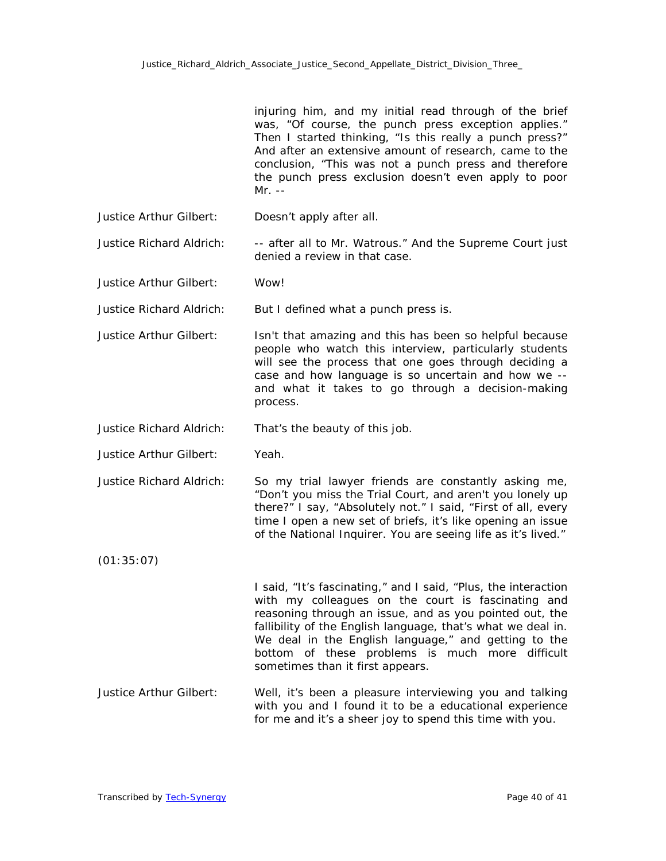|                          | injuring him, and my initial read through of the brief<br>was, "Of course, the punch press exception applies."<br>Then I started thinking, "Is this really a punch press?"<br>And after an extensive amount of research, came to the<br>conclusion, "This was not a punch press and therefore<br>the punch press exclusion doesn't even apply to poor<br>$Mr. --$                              |
|--------------------------|------------------------------------------------------------------------------------------------------------------------------------------------------------------------------------------------------------------------------------------------------------------------------------------------------------------------------------------------------------------------------------------------|
| Justice Arthur Gilbert:  | Doesn't apply after all.                                                                                                                                                                                                                                                                                                                                                                       |
| Justice Richard Aldrich: | -- after all to Mr. Watrous." And the Supreme Court just<br>denied a review in that case.                                                                                                                                                                                                                                                                                                      |
| Justice Arthur Gilbert:  | Wow!                                                                                                                                                                                                                                                                                                                                                                                           |
| Justice Richard Aldrich: | But I defined what a punch press is.                                                                                                                                                                                                                                                                                                                                                           |
| Justice Arthur Gilbert:  | Isn't that amazing and this has been so helpful because<br>people who watch this interview, particularly students<br>will see the process that one goes through deciding a<br>case and how language is so uncertain and how we --<br>and what it takes to go through a decision-making<br>process.                                                                                             |
| Justice Richard Aldrich: | That's the beauty of this job.                                                                                                                                                                                                                                                                                                                                                                 |
| Justice Arthur Gilbert:  | Yeah.                                                                                                                                                                                                                                                                                                                                                                                          |
| Justice Richard Aldrich: | So my trial lawyer friends are constantly asking me,<br>"Don't you miss the Trial Court, and aren't you lonely up<br>there?" I say, "Absolutely not." I said, "First of all, every<br>time I open a new set of briefs, it's like opening an issue<br>of the National Inquirer. You are seeing life as it's lived."                                                                             |
| (01:35:07)               |                                                                                                                                                                                                                                                                                                                                                                                                |
|                          | I said, "It's fascinating," and I said, "Plus, the interaction<br>with my colleagues on the court is fascinating and<br>reasoning through an issue, and as you pointed out, the<br>fallibility of the English language, that's what we deal in.<br>We deal in the English language," and getting to the<br>bottom of these problems is much more difficult<br>sometimes than it first appears. |
| Justice Arthur Gilbert:  | Well, it's been a pleasure interviewing you and talking<br>with you and I found it to be a educational experience<br>for me and it's a sheer joy to spend this time with you.                                                                                                                                                                                                                  |